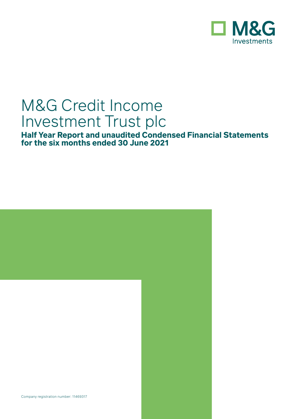

# M&G Credit Income Investment Trust plc

**Half Year Report and unaudited Condensed Financial Statements for the six months ended 30 June 2021**

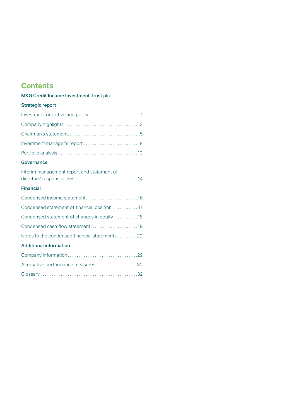## **Contents**

### M&G Credit Income Investment Trust plc

#### Strategic report

| Investment manager's report 8 |  |
|-------------------------------|--|
|                               |  |

#### **Governance**

| Interim management report and statement of   |
|----------------------------------------------|
| <b>Financial</b>                             |
|                                              |
| Condensed statement of financial position 17 |
| Condensed statement of changes in equity18   |
| Condensed cash flow statement19              |

#### Additional information

| Alternative performance measures  30 |  |
|--------------------------------------|--|
|                                      |  |

Notes to the condensed financial statements . . . . . . . . 20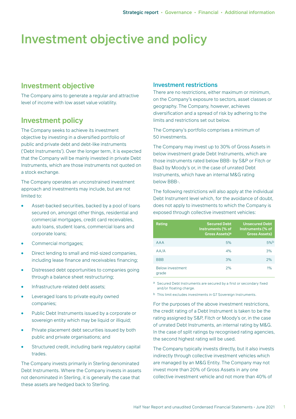## Investment objective and policy

### **Investment objective**

The Company aims to generate a regular and attractive level of income with low asset value volatility.

### **Investment policy**

The Company seeks to achieve its investment objective by investing in a diversified portfolio of public and private debt and debt-like instruments ('Debt Instruments'). Over the longer term, it is expected that the Company will be mainly invested in private Debt Instruments, which are those instruments not quoted on a stock exchange.

The Company operates an unconstrained investment approach and investments may include, but are not limited to:

- Asset-backed securities, backed by a pool of loans secured on, amongst other things, residential and commercial mortgages, credit card receivables, auto loans, student loans, commercial loans and corporate loans;
- Commercial mortgages;
- Direct lending to small and mid-sized companies, including lease finance and receivables financing;
- Distressed debt opportunities to companies going through a balance sheet restructuring;
- Infrastructure-related debt assets:
- Leveraged loans to private equity owned companies;
- Public Debt Instruments issued by a corporate or sovereign entity which may be liquid or illiquid;
- Private placement debt securities issued by both public and private organisations; and
- Structured credit, including bank regulatory capital trades.

The Company invests primarily in Sterling denominated Debt Instruments. Where the Company invests in assets not denominated in Sterling, it is generally the case that these assets are hedged back to Sterling.

#### Investment restrictions

There are no restrictions, either maximum or minimum, on the Company's exposure to sectors, asset classes or geography. The Company, however, achieves diversification and a spread of risk by adhering to the limits and restrictions set out below.

The Company's portfolio comprises a minimum of 50 investments.

The Company may invest up to 30% of Gross Assets in below investment grade Debt Instruments, which are those instruments rated below BBB- by S&P or Fitch or Baa3 by Moody's or, in the case of unrated Debt Instruments, which have an internal M&G rating below BBB-.

The following restrictions will also apply at the individual Debt Instrument level which, for the avoidance of doubt, does not apply to investments to which the Company is exposed through collective investment vehicles:

| Rating                           | <b>Secured Debt</b><br>Instruments (% of<br>Gross Assets) <sup>a</sup> | <b>Unsecured Debt</b><br>Instruments (% of<br><b>Gross Assets)</b> |
|----------------------------------|------------------------------------------------------------------------|--------------------------------------------------------------------|
| <b>AAA</b>                       | 5%                                                                     | 5%b                                                                |
| AA/A                             | 4%                                                                     | 3%                                                                 |
| <b>BBB</b>                       | 3%                                                                     | 2%                                                                 |
| <b>Below investment</b><br>grade | 2%                                                                     | 1%                                                                 |

a Secured Debt Instruments are secured by a first or secondary fixed and/or floating charge.

b This limit excludes investments in G7 Sovereign Instruments.

For the purposes of the above investment restrictions, the credit rating of a Debt Instrument is taken to be the rating assigned by S&P, Fitch or Moody's or, in the case of unrated Debt Instruments, an internal rating by M&G. In the case of split ratings by recognised rating agencies, the second highest rating will be used.

The Company typically invests directly, but it also invests indirectly through collective investment vehicles which are managed by an M&G Entity. The Company may not invest more than 20% of Gross Assets in any one collective investment vehicle and not more than 40% of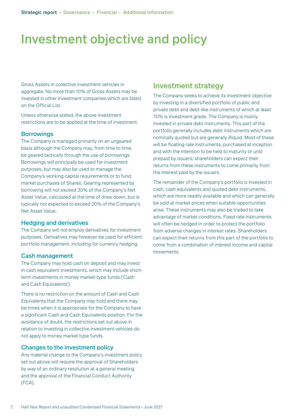## Investment objective and policy

Gross Assets in collective investment vehicles in aggregate. No more than 10% of Gross Assets may be invested in other investment companies which are listed on the Official List.

Unless otherwise stated, the above investment restrictions are to be applied at the time of investment.

#### **Borrowings**

The Company is managed primarily on an ungeared basis although the Company may, from time to time, be geared tactically through the use of borrowings. Borrowings will principally be used for investment purposes, but may also be used to manage the Company's working capital requirements or to fund market purchases of Shares. Gearing represented by borrowing will not exceed 30% of the Company's Net Asset Value, calculated at the time of draw down, but is typically not expected to exceed 20% of the Company's Net Asset Value.

#### Hedging and derivatives

The Company will not employ derivatives for investment purposes. Derivatives may however be used for efficient portfolio management, including for currency hedging.

#### Cash management

The Company may hold cash on deposit and may invest in cash equivalent investments, which may include shortterm investments in money market-type funds ('Cash and Cash Equivalents').

There is no restriction on the amount of Cash and Cash Equivalents that the Company may hold and there may be times when it is appropriate for the Company to have a significant Cash and Cash Equivalents position. For the avoidance of doubt, the restrictions set out above in relation to investing in collective investment vehicles do not apply to money market type funds.

#### Changes to the investment policy

Any material change to the Company's investment policy set out above will require the approval of Shareholders by way of an ordinary resolution at a general meeting and the approval of the Financial Conduct Authority (FCA).

### **Investment strategy**

The Company seeks to achieve its investment objective by investing in a diversified portfolio of public and private debt and debt-like instruments of which at least 70% is investment grade. The Company is mainly invested in private debt instruments. This part of the portfolio generally includes debt instruments which are nominally quoted but are generally illiquid. Most of these will be floating rate instruments, purchased at inception and with the intention to be held to maturity or until prepaid by issuers; shareholders can expect their returns from these instruments to come primarily from the interest paid by the issuers.

The remainder of the Company's portfolio is invested in cash, cash equivalents and quoted debt instruments, which are more readily available and which can generally be sold at market prices when suitable opportunities arise. These instruments may also be traded to take advantage of market conditions. Fixed rate instruments will often be hedged in order to protect the portfolio from adverse changes in interest rates. Shareholders can expect their returns from this part of the portfolio to come from a combination of interest income and capital movements.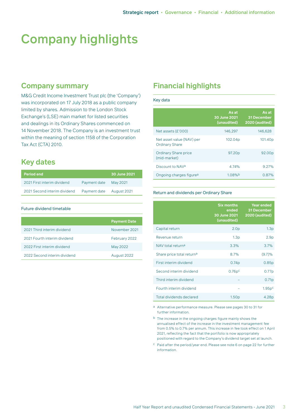# Company highlights

### **Company summary**

M&G Credit Income Investment Trust plc (the 'Company') was incorporated on 17 July 2018 as a public company limited by shares. Admission to the London Stock Exchange's (LSE) main market for listed securities and dealings in its Ordinary Shares commenced on 14 November 2018. The Company is an investment trust within the meaning of section 1158 of the Corporation Tax Act (CTA) 2010.

## **Key dates**

| <b>Period end</b>            |              | 30 June 2021 |
|------------------------------|--------------|--------------|
| 2021 First interim dividend  | Payment date | May 2021     |
| 2021 Second interim dividend | Payment date | August 2021  |

Future dividend timetable

|                              | <b>Payment Date</b> |
|------------------------------|---------------------|
| 2021 Third interim dividend  | November 2021       |
| 2021 Fourth interim dividend | February 2022       |
| 2022 First interim dividend  | May 2022            |
| 2022 Second interim dividend | August 2022         |

## **Financial highlights**

#### Key data

|                                                    | As at<br>30 June 2021<br>(unaudited) | As at<br><b>31 December</b><br><b>2020 (audited)</b> |
|----------------------------------------------------|--------------------------------------|------------------------------------------------------|
| Net assets $(E'000)$                               | 146.297                              | 146.628                                              |
| Net asset value (NAV) per<br><b>Ordinary Share</b> | 102.04p                              | 101.40p                                              |
| <b>Ordinary Share price</b><br>(mid-market)        | 97.20p                               | 92.00p                                               |
| Discount to NAV <sup>a</sup>                       | 4.74%                                | 9.27%                                                |
| Ongoing charges figure <sup>a</sup>                | 1.08%                                | 0.87%                                                |

#### Return and dividends per Ordinary Share

|                                       | <b>Six months</b><br>ended<br>30 June 2021<br>(unaudited) | Year ended<br>31 December<br><b>2020 (audited)</b> |
|---------------------------------------|-----------------------------------------------------------|----------------------------------------------------|
| Capital return                        | 2.0 <sub>p</sub>                                          | 1.3 <sub>p</sub>                                   |
| Revenue return                        | 1.3 <sub>p</sub>                                          | 2.9 <sub>p</sub>                                   |
| NAV total return <sup>a</sup>         | 3.3%                                                      | 3.7%                                               |
| Share price total return <sup>a</sup> | 8.7%                                                      | (9.7)%                                             |
| First interim dividend                | 0.74 <sub>p</sub>                                         | 0.85p                                              |
| Second interim dividend               | 0.76p <sup>c</sup>                                        | 0.77p                                              |
| Third interim dividend                |                                                           | 0.71 <sub>p</sub>                                  |
| Fourth interim dividend               |                                                           | 1.95p <sup>c</sup>                                 |
| Total dividends declared              | 1.50 <sub>p</sub>                                         | 4.28p                                              |

a Alternative performance measure. Please see pages 30 to 31 for further information.

b The increase in the ongoing charges figure mainly shows the annualised effect of the increase in the investment management fee from 0.5% to 0.7% per annum. This increase in fee took effect on 1 April 2021, reflecting the fact that the portfolio is now appropriately positioned with regard to the Company's dividend target set at launch.

c Paid after the period/year end. Please see note 6 on page 22 for further information.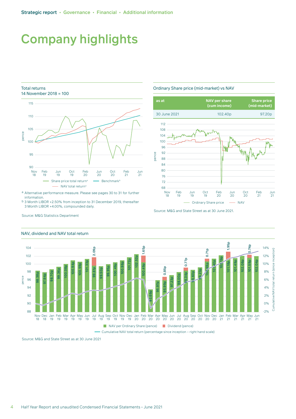## Company highlights

#### Total returns 14 November 2018 = 100



a Alternative performance measure. Please see pages 30 to 31 for further information.

b 3 Month LIBOR +2.50% from inception to 31 December 2019, thereafter 3 Month LIBOR +4.00%, compounded daily.

Ordinary Share price (mid-market) vs NAV



Source: M&G and State Street as at 30 June 2021.



#### NAV, dividend and NAV total return

Source: M&G Statistics Department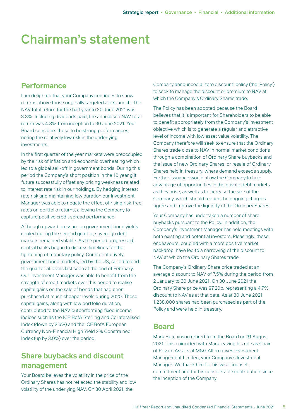## Chairman's statement

### **Performance**

I am delighted that your Company continues to show returns above those originally targeted at its launch. The NAV total return for the half year to 30 June 2021 was 3.3%. Including dividends paid, the annualised NAV total return was 4.8% from inception to 30 June 2021. Your Board considers these to be strong performances, noting the relatively low risk in the underlying investments.

In the first quarter of the year markets were preoccupied by the risk of inflation and economic overheating which led to a global sell-off in government bonds. During this period the Company's short position in the 10 year gilt future successfully offset any pricing weakness related to interest rate risk in our holdings. By hedging interest rate risk and maintaining low duration our Investment Manager was able to negate the effect of rising risk-free rates on portfolio returns, allowing the Company to capture positive credit spread performance.

Although upward pressure on government bond yields cooled during the second quarter, sovereign debt markets remained volatile. As the period progressed, central banks began to discuss timelines for the tightening of monetary policy. Counterintuitively, government bond markets, led by the US, rallied to end the quarter at levels last seen at the end of February. Our Investment Manager was able to benefit from the strength of credit markets over this period to realise capital gains on the sale of bonds that had been purchased at much cheaper levels during 2020. These capital gains, along with low portfolio duration, contributed to the NAV outperforming fixed income indices such as the ICE BofA Sterling and Collateralised Index (down by 2.6%) and the ICE BofA European Currency Non-Financial High Yield 2% Constrained Index (up by 3.0%) over the period.

## **Share buybacks and discount management**

Your Board believes the volatility in the price of the Ordinary Shares has not reflected the stability and low volatility of the underlying NAV. On 30 April 2021, the

Company announced a 'zero discount' policy (the 'Policy') to seek to manage the discount or premium to NAV at which the Company's Ordinary Shares trade.

The Policy has been adopted because the Board believes that it is important for Shareholders to be able to benefit appropriately from the Company's investment objective which is to generate a regular and attractive level of income with low asset value volatility. The Company therefore will seek to ensure that the Ordinary Shares trade close to NAV in normal market conditions through a combination of Ordinary Share buybacks and the issue of new Ordinary Shares, or resale of Ordinary Shares held in treasury, where demand exceeds supply. Further issuance would allow the Company to take advantage of opportunities in the private debt markets as they arise, as well as to increase the size of the Company, which should reduce the ongoing charges figure and improve the liquidity of the Ordinary Shares.

Your Company has undertaken a number of share buybacks pursuant to the Policy. In addition, the Company's Investment Manager has held meetings with both existing and potential investors. Pleasingly, these endeavours, coupled with a more positive market backdrop, have led to a narrowing of the discount to NAV at which the Ordinary Shares trade.

The Company's Ordinary Share price traded at an average discount to NAV of 7.5% during the period from 2 January to 30 June 2021. On 30 June 2021 the Ordinary Share price was 97.20p, representing a 4.7% discount to NAV as at that date. As at 30 June 2021, 1,238,000 shares had been purchased as part of the Policy and were held in treasury.

## **Board**

Mark Hutchinson retired from the Board on 31 August 2021. This coincided with Mark leaving his role as Chair of Private Assets at M&G Alternatives Investment Management Limited, your Company's Investment Manager. We thank him for his wise counsel, commitment and for his considerable contribution since the inception of the Company.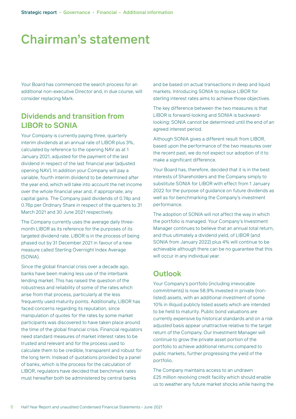## Chairman's statement

Your Board has commenced the search process for an additional non-executive Director and, in due course, will consider replacing Mark.

## **Dividends and transition from LIBOR to SONIA**

Your Company is currently paying three, quarterly interim dividends at an annual rate of LIBOR plus 3%, calculated by reference to the opening NAV as at 1 January 2021, adjusted for the payment of the last dividend in respect of the last financial year (adjusted opening NAV). In addition your Company will pay a variable, fourth interim dividend to be determined after the year end, which will take into account the net income over the whole financial year and, if appropriate, any capital gains. The Company paid dividends of 0.74p and 0.76p per Ordinary Share in respect of the quarters to 31 March 2021 and 30 June 2021 respectively.

The Company currently uses the average daily threemonth LIBOR as its reference for the purposes of its targeted dividend rate. LIBOR is in the process of being phased out by 31 December 2021 in favour of a new measure called Sterling Overnight Index Average (SONIA).

Since the global financial crisis over a decade ago, banks have been making less use of the interbank lending market. This has raised the question of the robustness and reliability of some of the rates which arise from that process, particularly at the less frequently used maturity points. Additionally, LIBOR has faced concerns regarding its reputation, since manipulation of quotes for the rates by some market participants was discovered to have taken place around the time of the global financial crisis. Financial regulators need standard measures of market interest rates to be trusted and relevant and for the process used to calculate them to be credible, transparent and robust for the long term. Instead of quotations provided by a panel of banks, which is the process for the calculation of LIBOR, regulators have decided that benchmark rates must hereafter both be administered by central banks

and be based on actual transactions in deep and liquid markets. Introducing SONIA to replace LIBOR for sterling interest rates aims to achieve those objectives.

The key difference between the two measures is that LIBOR is forward-looking and SONIA is backwardlooking: SONIA cannot be determined until the end of an agreed interest period.

Although SONIA gives a different result from LIBOR, based upon the performance of the two measures over the recent past, we do not expect our adoption of it to make a significant difference.

Your Board has, therefore, decided that it is in the best interests of Shareholders and the Company simply to substitute SONIA for LIBOR with effect from 1 January 2022 for the purpose of guidance on future dividends as well as for benchmarking the Company's investment performance.

The adoption of SONIA will not affect the way in which the portfolio is managed. Your Company's Investment Manager continues to believe that an annual total return, and thus ultimately a dividend yield, of LIBOR (and SONIA from January 2022) plus 4% will continue to be achievable although there can be no guarantee that this will occur in any individual year.

### **Outlook**

Your Company's portfolio (including irrevocable commitments) is now 58.9% invested in private (nonlisted) assets, with an additional investment of some 10% in illiquid publicly listed assets which are intended to be held to maturity. Public bond valuations are currently expensive by historical standards and on a risk adjusted basis appear unattractive relative to the target return of the Company. Our Investment Manager will continue to grow the private asset portion of the portfolio to achieve additional returns compared to public markets, further progressing the yield of the portfolio.

The Company maintains access to an undrawn £25 million revolving credit facility which should enable us to weather any future market shocks while having the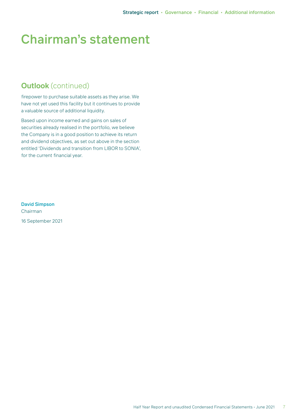# Chairman's statement

## **Outlook** (continued)

firepower to purchase suitable assets as they arise. We have not yet used this facility but it continues to provide a valuable source of additional liquidity.

Based upon income earned and gains on sales of securities already realised in the portfolio, we believe the Company is in a good position to achieve its return and dividend objectives, as set out above in the section entitled 'Dividends and transition from LIBOR to SONIA', for the current financial year.

David Simpson Chairman 16 September 2021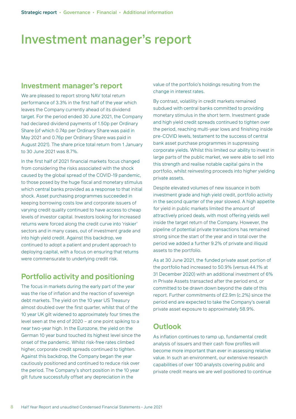# Investment manager's report

### **Investment manager's report**

We are pleased to report strong NAV total return performance of 3.3% in the first half of the year which leaves the Company currently ahead of its dividend target. For the period ended 30 June 2021, the Company had declared dividend payments of 1.50p per Ordinary Share (of which 0.74p per Ordinary Share was paid in May 2021 and 0.76p per Ordinary Share was paid in August 2021). The share price total return from 1 January to 30 June 2021 was 8.7%.

In the first half of 2021 financial markets focus changed from considering the risks associated with the shock caused by the global spread of the COVID-19 pandemic, to those posed by the huge fiscal and monetary stimulus which central banks provided as a response to that initial shock. Asset purchasing programmes succeeded in keeping borrowing costs low and corporate issuers of varying credit quality continued to have access to cheap levels of investor capital. Investors looking for increased returns were forced along the credit curve into 'riskier' sectors and in many cases, out of investment grade and into high yield credit. Against this backdrop, we continued to adopt a patient and prudent approach to deploying capital, with a focus on ensuring that returns were commensurate to underlying credit risk.

## **Portfolio activity and positioning**

The focus in markets during the early part of the year was the rise of inflation and the reaction of sovereign debt markets. The yield on the 10 year US Treasury almost doubled over the first quarter, whilst that of the 10 year UK gilt widened to approximately four times the level seen at the end of 2020 – at one point spiking to a near two-year high. In the Eurozone, the yield on the German 10 year bund touched its highest level since the onset of the pandemic. Whilst risk-free rates climbed higher, corporate credit spreads continued to tighten. Against this backdrop, the Company began the year cautiously positioned and continued to reduce risk over the period. The Company's short position in the 10 year gilt future successfully offset any depreciation in the

value of the portfolio's holdings resulting from the change in interest rates.

By contrast, volatility in credit markets remained subdued with central banks committed to providing monetary stimulus in the short term. Investment grade and high yield credit spreads continued to tighten over the period, reaching multi-year lows and finishing inside pre-COVID levels, testament to the success of central bank asset purchase programmes in suppressing corporate yields. Whilst this limited our ability to invest in large parts of the public market, we were able to sell into this strength and realise notable capital gains in the portfolio, whilst reinvesting proceeds into higher yielding private assets.

Despite elevated volumes of new issuance in both investment grade and high yield credit, portfolio activity in the second quarter of the year slowed. A high appetite for yield in public markets limited the amount of attractively priced deals, with most offering yields well inside the target return of the Company. However, the pipeline of potential private transactions has remained strong since the start of the year and in total over the period we added a further 9.2% of private and illiquid assets to the portfolio.

As at 30 June 2021, the funded private asset portion of the portfolio had increased to 50.9% (versus 44.1% at 31 December 2020) with an additional investment of 6% in Private Assets transacted after the period end, or committed to be drawn down beyond the date of this report. Further commitments of £2.9m (c.2%) since the period end are expected to take the Company's overall private asset exposure to approximately 58.9%.

### **Outlook**

As inflation continues to ramp up, fundamental credit analysis of issuers and their cash flow profiles will become more important than ever in assessing relative value. In such an environment, our extensive research capabilities of over 100 analysts covering public and private credit means we are well positioned to continue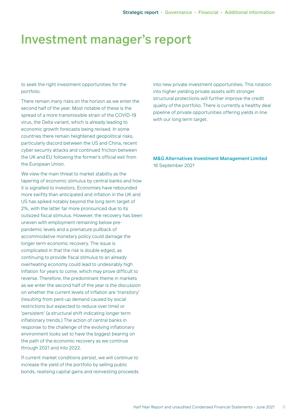## Investment manager's report

to seek the right investment opportunities for the portfolio.

There remain many risks on the horizon as we enter the second half of the year. Most notable of these is the spread of a more transmissible strain of the COVID-19 virus, the Delta variant, which is already leading to economic growth forecasts being revised. In some countries there remain heightened geopolitical risks, particularly discord between the US and China, recent cyber security attacks and continued friction between the UK and EU following the former's official exit from the European Union.

We view the main threat to market stability as the tapering of economic stimulus by central banks and how it is signalled to investors. Economies have rebounded more swiftly than anticipated and inflation in the UK and US has spiked notably beyond the long term target of 2%, with the latter far more pronounced due to its outsized fiscal stimulus. However, the recovery has been uneven with employment remaining below prepandemic levels and a premature pullback of accommodative monetary policy could damage the longer term economic recovery. The issue is complicated in that the risk is double edged, as continuing to provide fiscal stimulus to an already overheating economy could lead to undesirably high inflation for years to come, which may prove difficult to reverse. Therefore, the predominant theme in markets as we enter the second half of the year is the discussion on whether the current levels of inflation are 'transitory' (resulting from pent-up demand caused by social restrictions but expected to reduce over time) or 'persistent' (a structural shift indicating longer term inflationary trends.) The action of central banks in response to the challenge of the evolving inflationary environment looks set to have the biggest bearing on the path of the economic recovery as we continue through 2021 and into 2022.

If current market conditions persist, we will continue to increase the yield of the portfolio by selling public bonds, realising capital gains and reinvesting proceeds into new private investment opportunities. This rotation into higher yielding private assets with stronger structural protections will further improve the credit quality of the portfolio. There is currently a healthy deal pipeline of private opportunities offering yields in line with our long term target.

M&G Alternatives Investment Management Limited 16 September 2021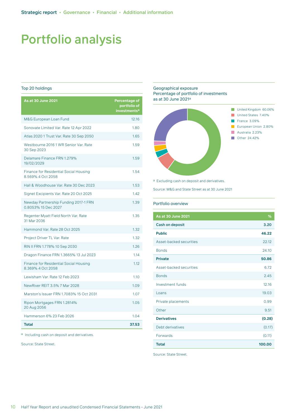#### Top 20 holdings

| <b>As at 30 June 2021</b>                                          | Percentage of<br>portfolio of<br>investments <sup>a</sup> |
|--------------------------------------------------------------------|-----------------------------------------------------------|
| M&G European Loan Fund                                             | 12.16                                                     |
| Sonovate Limited Var. Rate 12 Apr 2022                             | 1.80                                                      |
| Atlas 2020 1 Trust Var. Rate 30 Sep 2050                           | 1.65                                                      |
| Westbourne 2016 1 WR Senior Var. Rate<br>30 Sep 2023               | 1.59                                                      |
| Delamare Finance FRN 1.279%<br>19/02/2029                          | 1.59                                                      |
| <b>Finance for Residential Social Housing</b><br>8.569% 4 Oct 2058 | 1.54                                                      |
| Hall & Woodhouse Var. Rate 30 Dec 2023                             | 1.53                                                      |
| Signet Excipients Var. Rate 20 Oct 2025                            | 1.42                                                      |
| Newday Partnership Funding 2017-1 FRN<br>0.8053% 15 Dec 2027       | 1.39                                                      |
| Regenter Myatt Field North Var. Rate<br>31 Mar 2036                | 1.35                                                      |
| Hammond Var. Rate 28 Oct 2025                                      | 1.32                                                      |
| Project Driver TL Var. Rate                                        | 1.32                                                      |
| RIN II FRN 1.778% 10 Sep 2030                                      | 1.26                                                      |
| Dragon Finance FRN 1.3665% 13 Jul 2023                             | 1.14                                                      |
| <b>Finance for Residential Social Housing</b><br>8.369% 4 Oct 2058 | 1.12                                                      |
| Lewisham Var. Rate 12 Feb 2023                                     | 1.10                                                      |
| NewRiver REIT 3.5% 7 Mar 2028                                      | 1.09                                                      |
| Marston's Issuer FRN 1.7083% 15 Oct 2031                           | 1.07                                                      |
| Ripon Mortgages FRN 1.2814%<br>20 Aug 2056                         | 1.05                                                      |
| Hammerson 6% 23 Feb 2026                                           | 1.04                                                      |
| <b>Total</b>                                                       | 37.53                                                     |

a Including cash on deposit and derivatives.

Source: State Street.

#### Geographical exposure Percentage of portfolio of investments as at 30 June 2021a



a Excluding cash on deposit and derivatives.

Source: M&G and State Street as at 30 June 2021

#### Portfolio overview

| <b>As at 30 June 2021</b> | %      |
|---------------------------|--------|
| Cash on deposit           | 3.20   |
| <b>Public</b>             | 46.22  |
| Asset-backed securities   | 22.12  |
| <b>Bonds</b>              | 24.10  |
| <b>Private</b>            | 50.86  |
| Asset-backed securities   | 6.72   |
| <b>Bonds</b>              | 2.45   |
| Investment funds          | 12.16  |
| Loans                     | 19.03  |
| Private placements        | 0.99   |
| Other                     | 9.51   |
| <b>Derivatives</b>        | (0.28) |
| Debt derivatives          | (0.17) |
| Forwards                  | (0.11) |
| <b>Total</b>              | 100.00 |

Source: State Street.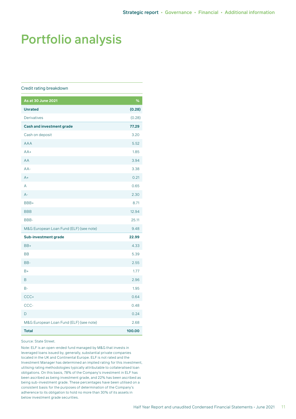#### Credit rating breakdown

| As at 30 June 2021                      | %      |
|-----------------------------------------|--------|
| <b>Unrated</b>                          | (0.28) |
| <b>Derivatives</b>                      | (0.28) |
| <b>Cash and investment grade</b>        | 77.29  |
| Cash on deposit                         | 3.20   |
| <b>AAA</b>                              | 5.52   |
| $AA+$                                   | 1.85   |
| AA                                      | 3.94   |
| $AA-$                                   | 3.38   |
| $A+$                                    | 0.21   |
| A                                       | 0.65   |
| $A -$                                   | 2.30   |
| BBB+                                    | 8.71   |
| <b>BBB</b>                              | 12.94  |
| BBB-                                    | 25.11  |
| M&G European Loan Fund (ELF) (see note) | 9.48   |
| <b>Sub-investment grade</b>             | 22.99  |
| BB+                                     | 4.33   |
| <b>BB</b>                               | 5.39   |
| BB-                                     | 2.55   |
| $B+$                                    | 1.77   |
| B                                       | 2.96   |
| $B -$                                   | 1.95   |
| CCC+                                    | 0.64   |
| CCC-                                    | 0.48   |
| D                                       | 0.24   |
| M&G European Loan Fund (ELF) (see note) | 2.68   |
| <b>Total</b>                            | 100.00 |

Source: State Street.

Note: ELF is an open-ended fund managed by M&G that invests in leveraged loans issued by, generally, substantial private companies located in the UK and Continental Europe. ELF is not rated and the Investment Manager has determined an implied rating for this investment, utilising rating methodologies typically attributable to collateralised loan obligations. On this basis, 78% of the Company's investment in ELF has been ascribed as being investment grade, and 22% has been ascribed as being sub-investment grade. These percentages have been utilised on a consistent basis for the purposes of determination of the Company's adherence to its obligation to hold no more than 30% of its assets in below investment grade securities.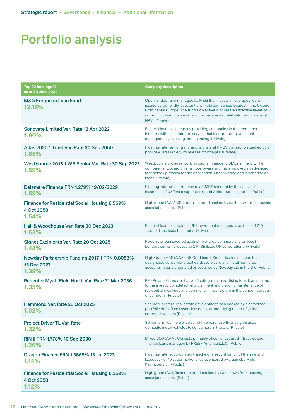| Top 20 holdings %<br>as at 30 June 2021                                     | <b>Company description</b>                                                                                                                                                                                                                                                                                                 |
|-----------------------------------------------------------------------------|----------------------------------------------------------------------------------------------------------------------------------------------------------------------------------------------------------------------------------------------------------------------------------------------------------------------------|
| <b>M&amp;G European Loan Fund</b><br>12.16%                                 | Open-ended fund managed by M&G that invests in leveraged loans<br>issued by, generally, substantial private companies located in the UK and<br>Continental Europe. The fund's objective is to create attractive levels of<br>current income for investors while maintaining relatively low volatility of<br>NAV. (Private) |
| Sonovate Limited Var. Rate 12 Apr 2022<br>1.80%                             | Bilateral loan to a company providing companies in the recruitment<br>industry with an integrated service that incorporates placement<br>management, invoicing and financing. (Private)                                                                                                                                    |
| Atlas 2020 1 Trust Var. Rate 30 Sep 2050<br>1.65%                           | Floating-rate, senior tranche of a bilateral RMBS transaction backed by a<br>pool of Australian equity release mortgages. (Private)                                                                                                                                                                                        |
| Westbourne 2016 1 WR Senior Var. Rate 30 Sep 2023<br>1.59%                  | Westbourne provides working capital finance to SMEs in the UK. The<br>company is focused on small borrowers and has employed an advanced<br>technology platform for the application, underwriting and monitoring of<br>Ioans. (Private)                                                                                    |
| Delamare Finance FRN 1.279% 19/02/2029<br>1.59%                             | Floating-rate, senior tranche of a CMBS secured by the sale and<br>leaseback of 33 Tesco superstores and 2 distribution centres. (Public)                                                                                                                                                                                  |
| <b>Finance for Residential Social Housing 8.569%</b><br>4 Oct 2058<br>1.54% | High grade (AA/Aa3), fixed-rate bond backed by cash flows from housing<br>association loans. (Public)                                                                                                                                                                                                                      |
| Hall & Woodhouse Var. Rate 30 Dec 2023<br>1.53%                             | Bilateral loan to a regional UK brewer that manages a portfolio of 219<br>freehold and leasehold pubs. (Private)                                                                                                                                                                                                           |
| Signet Excipients Var. Rate 20 Oct 2025<br>1.42%                            | Fixed-rate loan secured against two large commercial premises in<br>London, currently leased to 2 FTSE listed UK corporations. (Private)                                                                                                                                                                                   |
| Newday Partnership Funding 2017-1 FRN 0.8053%<br>15 Dec 2027<br>1.39%       | High Grade ABS (AAA). UK Creditcard. Securitisation of a portfolio of<br>designated consumer credit card, store card and instalment credit<br>accounts initially originated or acquired by NewDay Ltd in the UK. (Public)                                                                                                  |
| Regenter Myatt Field North Var. Rate 31 Mar 2036<br>1.35%                   | PFI (Private Finance Initiative) floating-rate, amortising term loan relating<br>to the already completed refurbishment and ongoing maintenance of<br>residential dwellings and communal infrastructure in the London borough<br>of Lambeth. (Private)                                                                     |
| Hammond Var. Rate 28 Oct 2025<br>1.32%                                      | Secured, bilateral real estate development loan backed by a combined<br>portfolio of 2 office assets leased to an underlying roster of global<br>corporate tenants (Private)                                                                                                                                               |
| <b>Project Driver TL Var. Rate</b><br>1.32%                                 | Senior term loan to a provider of hire purchase financing on used<br>domestic motor vehicles to consumers in the UK. (Private)                                                                                                                                                                                             |
| RIN II FRN 1.778% 10 Sep 2030<br>1.26%                                      | Mixed CLO (AAA). Consists primarily of senior secured infrastructure<br>finance loans managed by RREEF America L.L.C. (Public)                                                                                                                                                                                             |
| Dragon Finance FRN 1.3665% 13 Jul 2023<br>1.14%                             | Floating-rate, subordinated tranche of a securitisation of the sale and<br>leaseback of 10 supermarket sites sponsored by J Sainsbury plc<br>('Sainsbury's'). (Public)                                                                                                                                                     |
| <b>Finance for Residential Social Housing 8.369%</b><br>4 Oct 2058<br>1.12% | High grade (AA), fixed rate bond backed by cash flows from housing<br>association loans. (Public)                                                                                                                                                                                                                          |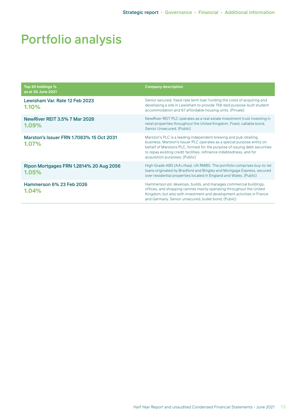| Top 20 holdings %<br>as at 30 June 2021           | <b>Company description</b>                                                                                                                                                                                                                                                                                                        |
|---------------------------------------------------|-----------------------------------------------------------------------------------------------------------------------------------------------------------------------------------------------------------------------------------------------------------------------------------------------------------------------------------|
| Lewisham Var. Rate 12 Feb 2023<br>1.10%           | Senior secured, fixed-rate term loan funding the costs of acquiring and<br>developing a site in Lewisham to provide 758-bed purpose-built student<br>accommodation and 67 affordable housing units. (Private)                                                                                                                     |
| <b>NewRiver REIT 3.5% 7 Mar 2028</b><br>$1.09\%$  | New River REIT PLC operates as a real estate investment trust investing in<br>retail properties throughout the United Kingdom. Fixed, callable bond.<br>Senior Unsecured. (Public)                                                                                                                                                |
| Marston's Issuer FRN 1.7083% 15 Oct 2031<br>1.07% | Marston's PLC is a leading independent brewing and pub retailing<br>business. Marston's Issuer PLC operates as a special purpose entity on<br>behalf of Marstons PLC, formed for the purpose of issuing debt securities<br>to repay existing credit facilities, refinance indebtedness, and for<br>acquisition purposes. (Public) |
| Ripon Mortgages FRN 1.2814% 20 Aug 2056<br>1.05%  | High Grade ABS (AA+/Aaa). UK RMBS. The portfolio comprises buy-to-let<br>loans originated by Bradford and Bingley and Mortgage Express, secured<br>over residential properties located in England and Wales. (Public)                                                                                                             |
| Hammerson 6% 23 Feb 2026<br>1.04%                 | Hammerson plc develops, builds, and manages commercial buildings,<br>offices, and shopping centres mainly operating throughout the United<br>Kingdom, but also with investment and development activities in France<br>and Germany. Senior unsecured, bullet bond. (Public)                                                       |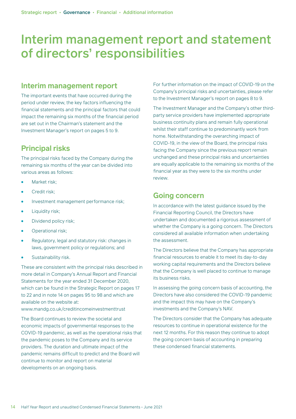## Interim management report and statement of directors' responsibilities

### **Interim management report**

The important events that have occurred during the period under review, the key factors influencing the financial statements and the principal factors that could impact the remaining six months of the financial period are set out in the Chairman's statement and the Investment Manager's report on pages 5 to 9.

## **Principal risks**

The principal risks faced by the Company during the remaining six months of the year can be divided into various areas as follows:

- Market risk:
- Credit risk:
- **•** Investment management performance risk;
- **•** Liquidity risk;
- Dividend policy risk;
- Operational risk;
- Regulatory, legal and statutory risk: changes in laws, government policy or regulations; and
- Sustainability risk.

These are consistent with the principal risks described in more detail in Company's Annual Report and Financial Statements for the year ended 31 December 2020, which can be found in the Strategic Report on pages 17 to 22 and in note 14 on pages 95 to 98 and which are available on the website at: [www.mandg.co.uk/creditincomeinvestmenttrust](https://www.mandg.com/investments/private-investor/en-gb/funds/mg-credit-income-investment-trust-plc/gb00bfyyl325)

The Board continues to review the societal and economic impacts of governmental responses to the COVID-19 pandemic, as well as the operational risks that the pandemic poses to the Company and its service providers. The duration and ultimate impact of the pandemic remains difficult to predict and the Board will continue to monitor and report on material developments on an ongoing basis.

For further information on the impact of COVID-19 on the Company's principal risks and uncertainties, please refer to the Investment Manager's report on pages 8 to 9.

The Investment Manager and the Company's other thirdparty service providers have implemented appropriate business continuity plans and remain fully operational whilst their staff continue to predominantly work from home. Notwithstanding the overarching impact of COVID-19, in the view of the Board, the principal risks facing the Company since the previous report remain unchanged and these principal risks and uncertainties are equally applicable to the remaining six months of the financial year as they were to the six months under review.

### **Going concern**

In accordance with the latest guidance issued by the Financial Reporting Council, the Directors have undertaken and documented a rigorous assessment of whether the Company is a going concern. The Directors considered all available information when undertaking the assessment.

The Directors believe that the Company has appropriate financial resources to enable it to meet its day-to-day working capital requirements and the Directors believe that the Company is well placed to continue to manage its business risks.

In assessing the going concern basis of accounting, the Directors have also considered the COVID-19 pandemic and the impact this may have on the Company's investments and the Company's NAV.

The Directors consider that the Company has adequate resources to continue in operational existence for the next 12 months. For this reason they continue to adopt the going concern basis of accounting in preparing these condensed financial statements.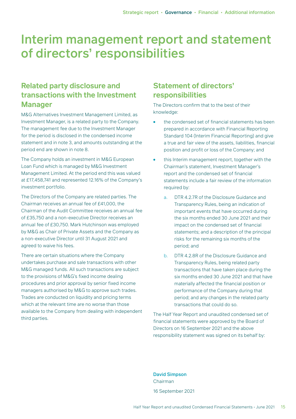## Interim management report and statement of directors' responsibilities

## **Related party disclosure and transactions with the Investment Manager**

M&G Alternatives Investment Management Limited, as Investment Manager, is a related party to the Company. The management fee due to the Investment Manager for the period is disclosed in the condensed income statement and in note 3, and amounts outstanding at the period end are shown in note 8.

The Company holds an investment in M&G European Loan Fund which is managed by M&G Investment Management Limited. At the period end this was valued at £17,458,741 and represented 12.16% of the Company's investment portfolio.

The Directors of the Company are related parties. The Chairman receives an annual fee of £41,000, the Chairman of the Audit Committee receives an annual fee of £35,750 and a non-executive Director receives an annual fee of £30,750. Mark Hutchinson was employed by M&G as Chair of Private Assets and the Company as a non-executive Director until 31 August 2021 and agreed to waive his fees.

There are certain situations where the Company undertakes purchase and sale transactions with other M&G managed funds. All such transactions are subject to the provisions of M&G's fixed income dealing procedures and prior approval by senior fixed income managers authorised by M&G to approve such trades. Trades are conducted on liquidity and pricing terms which at the relevant time are no worse than those available to the Company from dealing with independent third parties.

## **Statement of directors' responsibilities**

The Directors confirm that to the best of their knowledge:

- the condensed set of financial statements has been prepared in accordance with Financial Reporting Standard 104 (Interim Financial Reporting) and give a true and fair view of the assets, liabilities, financial position and profit or loss of the Company; and
- this Interim management report, together with the Chairman's statement, Investment Manager's report and the condensed set of financial statements include a fair review of the information required by:
	- a. DTR 4.2.7R of the Disclosure Guidance and Transparency Rules, being an indication of important events that have occurred during the six months ended 30 June 2021 and their impact on the condensed set of financial statements; and a description of the principal risks for the remaining six months of the period; and
	- b. DTR 4.2.8R of the Disclosure Guidance and Transparency Rules, being related party transactions that have taken place during the six months ended 30 June 2021 and that have materially affected the financial position or performance of the Company during that period; and any changes in the related party transactions that could do so.

The Half Year Report and unaudited condensed set of financial statements were approved by the Board of Directors on 16 September 2021 and the above responsibility statement was signed on its behalf by:

David Simpson Chairman 16 September 2021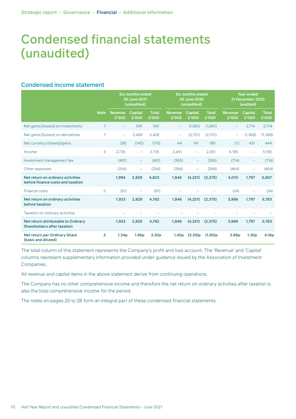### Condensed income statement

|                                                                           |                | <b>Six months ended</b><br>30 June 2021<br>(unaudited) |                          | <b>Six months ended</b><br>30 June 2020<br>(unaudited) |                          |                          | <b>Year ended</b><br>31 December 2020<br>(audited) |                          |                          |                       |
|---------------------------------------------------------------------------|----------------|--------------------------------------------------------|--------------------------|--------------------------------------------------------|--------------------------|--------------------------|----------------------------------------------------|--------------------------|--------------------------|-----------------------|
|                                                                           | <b>Note</b>    | Revenue<br>£'000                                       | <b>Capital</b><br>£'000  | <b>Total</b><br>£'000                                  | <b>Revenue</b><br>£'000  | <b>Capital</b><br>£'000  | <b>Total</b><br>£'000                              | <b>Revenue</b><br>£'000  | <b>Capital</b><br>£'000  | <b>Total</b><br>£'000 |
| Net gains/(losses) on investments                                         | $\overline{7}$ | $\overline{\phantom{m}}$                               | 541                      | 541                                                    | $\equiv$                 | (1,661)                  | (1,661)                                            | $\qquad \qquad -$        | 2,714                    | 2,714                 |
| Net gains/(losses) on derivatives                                         | $\overline{7}$ | $-$                                                    | 2,428                    | 2,428                                                  | $\overline{\phantom{m}}$ | (2,701)                  | (2,701)                                            | $\overline{\phantom{0}}$ | (1, 368)                 | (1, 368)              |
| Net currency (losses)/gains                                               |                | (36)                                                   | (140)                    | (176)                                                  | 44                       | 141                      | 185                                                | (7)                      | 451                      | 444                   |
| Income                                                                    | 3              | 2,735                                                  | $\qquad \qquad -$        | 2,735                                                  | 2,451                    | $-$                      | 2,451                                              | 5,195                    | $\overline{\phantom{0}}$ | 5,195                 |
| Investment management fee                                                 |                | (451)                                                  | $\equiv$                 | (451)                                                  | (355)                    | $\overline{\phantom{a}}$ | (355)                                              | (714)                    | $\equiv$                 | (714)                 |
| Other expenses                                                            |                | (254)                                                  | $\overline{\phantom{0}}$ | (254)                                                  | (294)                    | $-$                      | (294)                                              | (464)                    | $\overline{\phantom{a}}$ | (464)                 |
| Net return on ordinary activities<br>before finance costs and taxation    |                | 1,994                                                  | 2,829                    | 4,823                                                  | 1,846                    | (4, 221)                 | (2, 375)                                           | 4,010                    | 1,797                    | 5,807                 |
| Finance costs                                                             | 5              | (61)                                                   | ÷                        | (61)                                                   |                          |                          |                                                    | (24)                     | ÷                        | (24)                  |
| Net return on ordinary activities<br>before taxation                      |                | 1,933                                                  | 2,829                    | 4,762                                                  | 1,846                    | (4, 221)                 | (2, 375)                                           | 3,986                    | 1,797                    | 5,783                 |
| Taxation on ordinary activities                                           |                |                                                        |                          |                                                        |                          |                          |                                                    |                          |                          |                       |
| Net return attributable to Ordinary<br><b>Shareholders after taxation</b> |                | 1,933                                                  | 2,829                    | 4,762                                                  | 1,846                    | (4, 221)                 | (2, 375)                                           | 3,986                    | 1,797                    | 5,783                 |
| Net return per Ordinary Share<br>(basic and diluted)                      | $\overline{2}$ | 1.34 <sub>p</sub>                                      | 1.96 <sub>p</sub>        | 3.30 <sub>p</sub>                                      | 1.40 <sub>p</sub>        | (3.20)p                  | $(1.80)$ p                                         | 2.88p                    | 1.30 <sub>p</sub>        | 4.18p                 |

The total column of this statement represents the Company's profit and loss account. The 'Revenue' and 'Capital' columns represent supplementary information provided under guidance issued by the Association of Investment Companies.

All revenue and capital items in the above statement derive from continuing operations.

The Company has no other comprehensive income and therefore the net return on ordinary activities after taxation is also the total comprehensive income for the period.

The notes on pages 20 to 28 form an integral part of these condensed financial statements.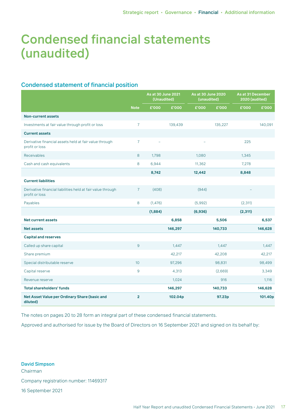### Condensed statement of financial position

|                                                                               |                 | As at 30 June 2021<br>(Unaudited) |         | As at 30 June 2020<br>(unaudited) |         | As at 31 December<br>2020 (audited) |         |
|-------------------------------------------------------------------------------|-----------------|-----------------------------------|---------|-----------------------------------|---------|-------------------------------------|---------|
|                                                                               | <b>Note</b>     | £'000                             | £'000   | £'000                             | £'000   | £'000                               | £'000   |
| <b>Non-current assets</b>                                                     |                 |                                   |         |                                   |         |                                     |         |
| Investments at fair value through profit or loss                              | $\overline{7}$  |                                   | 139,439 |                                   | 135,227 |                                     | 140,091 |
| <b>Current assets</b>                                                         |                 |                                   |         |                                   |         |                                     |         |
| Derivative financial assets held at fair value through<br>profit or loss      | $\overline{7}$  |                                   |         |                                   |         | 225                                 |         |
| <b>Receivables</b>                                                            | 8               | 1,798                             |         | 1,080                             |         | 1,345                               |         |
| Cash and cash equivalents                                                     | 8               | 6,944                             |         | 11,362                            |         | 7,278                               |         |
|                                                                               |                 | 8,742                             |         | 12,442                            |         | 8,848                               |         |
| <b>Current liabilities</b>                                                    |                 |                                   |         |                                   |         |                                     |         |
| Derivative financial liabilities held at fair value through<br>profit or loss | $\overline{7}$  | (408)                             |         | (944)                             |         |                                     |         |
| Payables                                                                      | 8               | (1,476)                           |         | (5,992)                           |         | (2, 311)                            |         |
|                                                                               |                 | (1,884)                           |         | (6,936)                           |         | (2, 311)                            |         |
| <b>Net current assets</b>                                                     |                 |                                   | 6,858   |                                   | 5,506   |                                     | 6,537   |
| <b>Net assets</b>                                                             |                 |                                   | 146,297 |                                   | 140,733 |                                     | 146,628 |
| <b>Capital and reserves</b>                                                   |                 |                                   |         |                                   |         |                                     |         |
| Called up share capital                                                       | 9               |                                   | 1,447   |                                   | 1,447   |                                     | 1,447   |
| Share premium                                                                 |                 |                                   | 42,217  |                                   | 42,208  |                                     | 42,217  |
| Special distributable reserve                                                 | 10 <sup>°</sup> |                                   | 97,296  |                                   | 98,831  |                                     | 98,499  |
| Capital reserve                                                               | 9               |                                   | 4,313   |                                   | (2,669) |                                     | 3,349   |
| Revenue reserve                                                               |                 |                                   | 1,024   |                                   | 916     |                                     | 1,116   |
| <b>Total shareholders' funds</b>                                              |                 |                                   | 146,297 |                                   | 140,733 |                                     | 146,628 |
| Net Asset Value per Ordinary Share (basic and<br>diluted)                     | $\overline{2}$  |                                   | 102.04p |                                   | 97.23p  |                                     | 101.40p |

The notes on pages 20 to 28 form an integral part of these condensed financial statements.

Approved and authorised for issue by the Board of Directors on 16 September 2021 and signed on its behalf by:

David Simpson Chairman Company registration number: 11469317 16 September 2021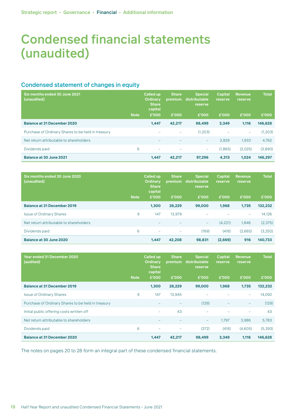### Condensed statement of changes in equity

| Six months ended 30 June 2021<br>(unaudited)       |             | <b>Called up</b><br><b>Ordinary</b><br><b>Share</b><br>capital | <b>Share</b><br>premium | <b>Special</b><br>distributable<br>reserve | <b>Capital</b><br><b>reserve</b> | <b>Revenue</b><br><b>reserve</b> | <b>Total</b> |
|----------------------------------------------------|-------------|----------------------------------------------------------------|-------------------------|--------------------------------------------|----------------------------------|----------------------------------|--------------|
|                                                    | <b>Note</b> | £'000                                                          | £'000                   | £'000                                      | £'000                            | £'000                            | £'000        |
| <b>Balance at 31 December 2020</b>                 |             | 1,447                                                          | 42.217                  | 98,499                                     | 3.349                            | 1.116                            | 146,628      |
| Purchase of Ordinary Shares to be held in treasury |             | $\overline{\phantom{0}}$                                       | ۰                       | (1,203)                                    | $\qquad \qquad -$                | -                                | (1,203)      |
| Net return attributable to shareholders            |             |                                                                |                         | $-$                                        | 2,829                            | 1,933                            | 4,762        |
| Dividends paid                                     | 6           | $\overline{\phantom{0}}$                                       | ۰                       | $\overline{\phantom{a}}$                   | (1,865)                          | (2.025)                          | (3,890)      |
| Balance at 30 June 2021                            |             | 1,447                                                          | 42,217                  | 97.296                                     | 4,313                            | 1.024                            | 146,297      |

| Six months ended 30 June 2020<br>(unaudited) |             | <b>Called up</b><br><b>Ordinary</b><br><b>Share</b><br>capital | <b>Share</b><br>premium | <b>Special</b><br>distributable<br>reserve | <b>Capital</b><br><b>reserve</b> | <b>Revenue</b><br><b>reserve</b> | <b>Total</b> |
|----------------------------------------------|-------------|----------------------------------------------------------------|-------------------------|--------------------------------------------|----------------------------------|----------------------------------|--------------|
|                                              | <b>Note</b> | £'000                                                          | £'000                   | £'000                                      | £'000                            | £'000                            | £'000        |
| <b>Balance at 31 December 2019</b>           |             | 1.300                                                          | 28,229                  | 99,000                                     | 1,968                            | 1.735                            | 132,232      |
| <b>Issue of Ordinary Shares</b>              | 9           | 147                                                            | 13.979                  |                                            |                                  | $\overline{\phantom{0}}$         | 14,126       |
| Net return attributable to shareholders      |             |                                                                |                         | $-$                                        | (4,221)                          | 1,846                            | (2,375)      |
| Dividends paid                               | 6           | $\overline{\phantom{0}}$                                       | ÷                       | (169)                                      | (416)                            | (2,665)                          | (3,250)      |
| Balance at 30 June 2020                      |             | 1,447                                                          | 42,208                  | 98,831                                     | (2,669)                          | 916                              | 140,733      |

| <b>Year ended 31 December 2020</b><br>(audited)    | <b>Note</b> | <b>Called up</b><br><b>Ordinary</b><br><b>Share</b><br>capital<br>£'000 | <b>Share</b><br>premium<br>£'000 | <b>Special</b><br>distributable<br><b>reserve</b><br>£'000 | <b>Capital</b><br>reserve<br>£'000 | <b>Revenue</b><br><b>reserve</b><br>£'000 | <b>Total</b><br>£'000 |
|----------------------------------------------------|-------------|-------------------------------------------------------------------------|----------------------------------|------------------------------------------------------------|------------------------------------|-------------------------------------------|-----------------------|
| <b>Balance at 31 December 2019</b>                 |             | 1,300                                                                   | 28,229                           | 99,000                                                     | 1,968                              | 1,735                                     | 132,232               |
| <b>Issue of Ordinary Shares</b>                    | 9           | 147                                                                     | 13,945                           |                                                            |                                    | ۰                                         | 14,092                |
| Purchase of Ordinary Shares to be held in treasury |             |                                                                         |                                  | (129)                                                      |                                    | -                                         | (129)                 |
| Initial public offering costs written off          |             | $\overline{\phantom{0}}$                                                | 43                               |                                                            |                                    |                                           | 43                    |
| Net return attributable to shareholders            |             | $\overline{\phantom{0}}$                                                | $\qquad \qquad -$                | -                                                          | 1.797                              | 3,986                                     | 5,783                 |
| Dividends paid                                     | 6           | $\overline{\phantom{0}}$                                                | -                                | (372)                                                      | (416)                              | (4,605)                                   | (5, 393)              |
| <b>Balance at 31 December 2020</b>                 |             | 1,447                                                                   | 42,217                           | 98,499                                                     | 3,349                              | 1,116                                     | 146,628               |

The notes on pages 20 to 28 form an integral part of these condensed financial statements.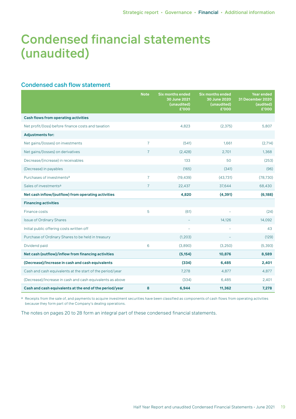### Condensed cash flow statement

|                                                           | <b>Note</b>    | <b>Six months ended</b><br>30 June 2021<br>(unaudited)<br>£'000 | <b>Six months ended</b><br>30 June 2020<br>(unaudited)<br>£'000 | <b>Year ended</b><br><b>31 December 2020</b><br>(audited)<br>£'000 |
|-----------------------------------------------------------|----------------|-----------------------------------------------------------------|-----------------------------------------------------------------|--------------------------------------------------------------------|
| <b>Cash flows from operating activities</b>               |                |                                                                 |                                                                 |                                                                    |
| Net profit/(loss) before finance costs and taxation       |                | 4,823                                                           | (2, 375)                                                        | 5,807                                                              |
| <b>Adjustments for:</b>                                   |                |                                                                 |                                                                 |                                                                    |
| Net gains/(losses) on investments                         | $\overline{7}$ | (541)                                                           | 1,661                                                           | (2,714)                                                            |
| Net gains/(losses) on derivatives                         | $\overline{7}$ | (2,428)                                                         | 2,701                                                           | 1,368                                                              |
| Decrease/(increase) in receivables                        |                | 133                                                             | 50                                                              | (253)                                                              |
| (Decrease) in payables                                    |                | (165)                                                           | (341)                                                           | (96)                                                               |
| Purchases of investments <sup>a</sup>                     | $\overline{7}$ | (19, 439)                                                       | (43, 731)                                                       | (78, 730)                                                          |
| Sales of investments <sup>a</sup>                         | $\overline{7}$ | 22,437                                                          | 37,644                                                          | 68,430                                                             |
| Net cash inflow/(outflow) from operating activities       |                | 4,820                                                           | (4, 391)                                                        | (6, 188)                                                           |
| <b>Financing activities</b>                               |                |                                                                 |                                                                 |                                                                    |
| Finance costs                                             | 5              | (61)                                                            |                                                                 | (24)                                                               |
| <b>Issue of Ordinary Shares</b>                           |                |                                                                 | 14,126                                                          | 14,092                                                             |
| Initial public offering costs written off                 |                | $\overline{\phantom{a}}$                                        | ۰                                                               | 43                                                                 |
| Purchase of Ordinary Shares to be held in treasury        |                | (1, 203)                                                        |                                                                 | (129)                                                              |
| Dividend paid                                             | 6              | (3,890)                                                         | (3,250)                                                         | (5, 393)                                                           |
| Net cash (outflow)/inflow from financing activities       |                | (5, 154)                                                        | 10,876                                                          | 8,589                                                              |
| (Decrease)/Increase in cash and cash equivalents          |                | (334)                                                           | 6,485                                                           | 2,401                                                              |
| Cash and cash equivalents at the start of the period/year |                | 7,278                                                           | 4,877                                                           | 4,877                                                              |
| (Decrease)/Increase in cash and cash equivalents as above |                | (334)                                                           | 6,485                                                           | 2,401                                                              |
| Cash and cash equivalents at the end of the period/year   | 8              | 6,944                                                           | 11,362                                                          | 7,278                                                              |

a Receipts from the sale of, and payments to acquire investment securities have been classified as components of cash flows from operating activities because they form part of the Company's dealing operations.

The notes on pages 20 to 28 form an integral part of these condensed financial statements.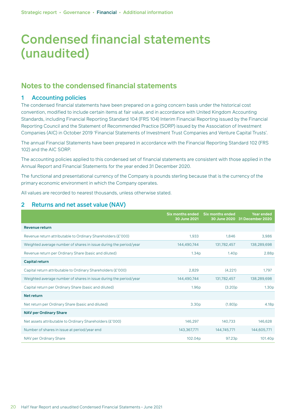### **Notes to the condensed financial statements**

#### 1 Accounting policies

The condensed financial statements have been prepared on a going concern basis under the historical cost convention, modified to include certain items at fair value, and in accordance with United Kingdom Accounting Standards, including Financial Reporting Standard 104 (FRS 104) Interim Financial Reporting issued by the Financial Reporting Council and the Statement of Recommended Practice (SORP) issued by the Association of Investment Companies (AIC) in October 2019 'Financial Statements of Investment Trust Companies and Venture Capital Trusts'.

The annual Financial Statements have been prepared in accordance with the Financial Reporting Standard 102 (FRS 102) and the AIC SORP.

The accounting policies applied to this condensed set of financial statements are consistent with those applied in the Annual Report and Financial Statements for the year ended 31 December 2020.

The functional and presentational currency of the Company is pounds sterling because that is the currency of the primary economic environment in which the Company operates.

All values are recorded to nearest thousands, unless otherwise stated.

#### 2 Returns and net asset value (NAV)

|                                                                   | Six months ended<br>30 June 2021 | <b>Six months ended</b> | <b>Year ended</b><br>30 June 2020 31 December 2020 |
|-------------------------------------------------------------------|----------------------------------|-------------------------|----------------------------------------------------|
| <b>Revenue return</b>                                             |                                  |                         |                                                    |
| Revenue return attributable to Ordinary Shareholders (£'000)      | 1,933                            | 1.846                   | 3,986                                              |
| Weighted average number of shares in issue during the period/year | 144,490,744                      | 131,782,457             | 138,289,698                                        |
| Revenue return per Ordinary Share (basic and diluted)             | 1.34 <sub>p</sub>                | 1.40 <sub>p</sub>       | 2.88 <sub>p</sub>                                  |
| <b>Capital return</b>                                             |                                  |                         |                                                    |
| Capital return attributable to Ordinary Shareholders (£'000)      | 2,829                            | (4,221)                 | 1,797                                              |
| Weighted average number of shares in issue during the period/year | 144,490,744                      | 131,782,457             | 138,289,698                                        |
| Capital return per Ordinary Share (basic and diluted)             | 1.96 <sub>p</sub>                | (3.20)p                 | 1.30 <sub>p</sub>                                  |
| <b>Net return</b>                                                 |                                  |                         |                                                    |
| Net return per Ordinary Share (basic and diluted)                 | 3.30 <sub>p</sub>                | $(1.80)$ p              | 4.18 <sub>p</sub>                                  |
| <b>NAV per Ordinary Share</b>                                     |                                  |                         |                                                    |
| Net assets attributable to Ordinary Shareholders (£'000)          | 146,297                          | 140,733                 | 146,628                                            |
| Number of shares in issue at period/year end                      | 143,367,771                      | 144,745,771             | 144,605,771                                        |
| NAV per Ordinary Share                                            | 102.04p                          | 97.23p                  | 101.40p                                            |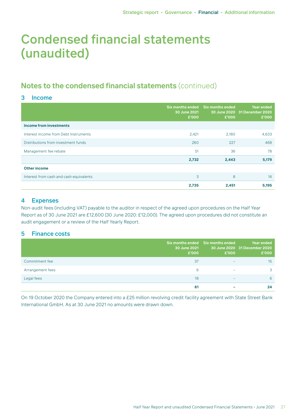## **Notes to the condensed financial statements** (continued)

### 3 Income

|                                         | Six months ended<br>30 June 2021<br>£'000 | <b>Six months ended</b><br>£'000 | <b>Year ended</b><br>30 June 2020 31 December 2020<br>£'000 |
|-----------------------------------------|-------------------------------------------|----------------------------------|-------------------------------------------------------------|
| Income from investments                 |                                           |                                  |                                                             |
| Interest income from Debt Instruments   | 2,421                                     | 2,180                            | 4,633                                                       |
| Distributions from investment funds     | 260                                       | 227                              | 468                                                         |
| Management fee rebate                   | 51                                        | 36                               | 78                                                          |
|                                         | 2,732                                     | 2,443                            | 5,179                                                       |
| <b>Other income</b>                     |                                           |                                  |                                                             |
| Interest from cash and cash equivalents | 3                                         | 8                                | 16                                                          |
|                                         | 2,735                                     | 2,451                            | 5,195                                                       |

#### 4 Expenses

Non-audit fees (including VAT) payable to the auditor in respect of the agreed upon procedures on the Half Year Report as of 30 June 2021 are £12,600 (30 June 2020: £12,000). The agreed upon procedures did not constitute an audit engagement or a review of the Half Yearly Report.

### 5 Finance costs

|                  | Six months ended<br>30 June 2021<br>£'000 | <b>Six months ended</b><br>£'000 | Year ended<br>30 June 2020 31 December 2020<br>£'000 |
|------------------|-------------------------------------------|----------------------------------|------------------------------------------------------|
| Commitment fee   | 37                                        | $\overline{\phantom{0}}$         | 15                                                   |
| Arrangement fees | 6                                         | $\overline{\phantom{0}}$         | 3                                                    |
| Legal fees       | 18                                        | -                                | 6                                                    |
|                  | 61                                        |                                  | 24                                                   |

On 19 October 2020 the Company entered into a £25 million revolving credit facility agreement with State Street Bank International GmbH. As at 30 June 2021 no amounts were drawn down.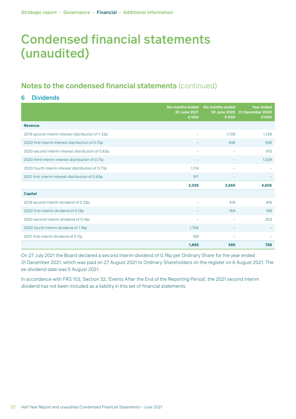## **Notes to the condensed financial statements** (continued)

### 6 Dividends

|                                                    | <b>Six months ended</b><br>30 June 2021<br>£'000 | <b>Six months ended</b><br>£'000 | <b>Year ended</b><br>30 June 2020 31 December 2020<br>£'000 |
|----------------------------------------------------|--------------------------------------------------|----------------------------------|-------------------------------------------------------------|
| <b>Revenue</b>                                     |                                                  |                                  |                                                             |
| 2019 second interim interest distribution of 1.33p |                                                  | 1.729                            | 1,729                                                       |
| 2020 first interim interest distribution of 0.72p  |                                                  | 936                              | 936                                                         |
| 2020 second interim interest distribution of 0.63p | $\overline{\phantom{0}}$                         | $\overline{\phantom{0}}$         | 912                                                         |
| 2020 third interim interest distribution of 0.71p  |                                                  |                                  | 1,028                                                       |
| 2020 fourth interim interest distribution of 0.77p | 1,114                                            |                                  |                                                             |
| 2021 first interim interest distribution of 0.63p  | 911                                              |                                  |                                                             |
|                                                    | 2,025                                            | 2,665                            | 4,605                                                       |
| <b>Capital</b>                                     |                                                  |                                  |                                                             |
| 2019 second interim dividend of 0.32p              | L.                                               | 416                              | 416                                                         |
| 2020 first interim dividend of 0.13p               |                                                  | 169                              | 169                                                         |
| 2020 second interim dividend of 0.14p              | -                                                | $\overline{\phantom{a}}$         | 203                                                         |
| 2020 fourth interim dividend of 1.18p              | 1,706                                            |                                  |                                                             |
| 2021 first interim dividend of 0.11p               | 159                                              | -                                |                                                             |
|                                                    | 1,865                                            | 585                              | 788                                                         |

On 27 July 2021 the Board declared a second interim dividend of 0.76p per Ordinary Share for the year ended 31 December 2021, which was paid on 27 August 2021 to Ordinary Shareholders on the register on 6 August 2021. The ex-dividend date was 5 August 2021.

In accordance with FRS 102, Section 32, 'Events After the End of the Reporting Period', the 2021 second interim dividend has not been included as a liability in this set of financial statements.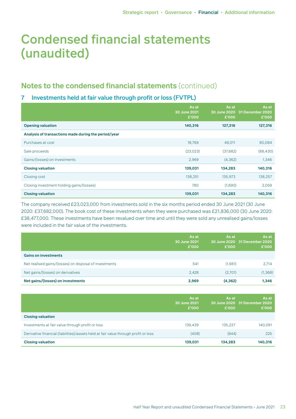## **Notes to the condensed financial statements** (continued)

### 7 Investments held at fair value through profit or loss (FVTPL)

|                                                      | As at<br>30 June 2021<br>£'000 | As at<br>£'000 | As at<br>30 June 2020 31 December 2020<br>£'000 |
|------------------------------------------------------|--------------------------------|----------------|-------------------------------------------------|
| <b>Opening valuation</b>                             | 140,316                        | 127,316        | 127,316                                         |
| Analysis of transactions made during the period/year |                                |                |                                                 |
| Purchases at cost                                    | 18,769                         | 49,011         | 80,084                                          |
| Sale proceeds                                        | (23, 023)                      | (37,682)       | (68, 430)                                       |
| Gains/(losses) on investments                        | 2,969                          | (4, 362)       | 1,346                                           |
| <b>Closing valuation</b>                             | 139,031                        | 134,283        | 140,316                                         |
| Closing cost                                         | 138,251                        | 135,973        | 138,257                                         |
| Closing investment holding gains/(losses)            | 780                            | (1,690)        | 2,059                                           |
| <b>Closing valuation</b>                             | 139,031                        | 134,283        | 140,316                                         |

The company received £23,023,000 from investments sold in the six months period ended 30 June 2021 (30 June 2020: £37,682,000). The book cost of these investments when they were purchased was £21,836,000 (30 June 2020: £38,477,000. These investments have been revalued over time and until they were sold any unrealised gains/losses were included in the fair value of the investments.

|                                                        | As at<br>30 June 2021<br>£'000 | As at<br>£'000 | As at<br>30 June 2020 31 December 2020<br>£'000 |
|--------------------------------------------------------|--------------------------------|----------------|-------------------------------------------------|
| <b>Gains on investments</b>                            |                                |                |                                                 |
| Net realised gains/(losses) on disposal of investments | 541                            | (1,661)        | 2.714                                           |
| Net gains/(losses) on derivatives                      | 2.428                          | (2,701)        | (1, 368)                                        |
| Net gains/(losses) on investments                      | 2,969                          | (4, 362)       | 1,346                                           |

|                                                                                     | As at<br>30 June 2021<br>£'000 | As at<br>£'000 | As at<br>30 June 2020 31 December 2020<br>£'000 |
|-------------------------------------------------------------------------------------|--------------------------------|----------------|-------------------------------------------------|
| <b>Closing valuation</b>                                                            |                                |                |                                                 |
| Investments at fair value through profit or loss                                    | 139,439                        | 135.227        | 140,091                                         |
| Derivative financial (liabilities)/assets held at fair value through profit or loss | (408)                          | (944)          | 225                                             |
| <b>Closing valuation</b>                                                            | 139.031                        | 134.283        | 140.316                                         |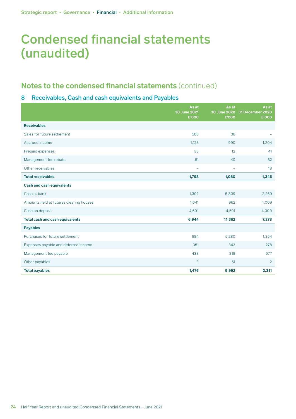## **Notes to the condensed financial statements** (continued)

### 8 Receivables, Cash and cash equivalents and Payables

|                                         | As at<br>30 June 2021<br>£'000 | As at<br>£'000           | As at<br>30 June 2020 31 December 2020<br>£'000 |
|-----------------------------------------|--------------------------------|--------------------------|-------------------------------------------------|
| <b>Receivables</b>                      |                                |                          |                                                 |
| Sales for future settlement             | 586                            | 38                       |                                                 |
| Accrued income                          | 1,128                          | 990                      | 1,204                                           |
| Prepaid expenses                        | 33                             | 12                       | 41                                              |
| Management fee rebate                   | 51                             | 40                       | 82                                              |
| Other receivables                       | ÷                              | $\overline{\phantom{a}}$ | 18                                              |
| <b>Total receivables</b>                | 1,798                          | 1,080                    | 1,345                                           |
| <b>Cash and cash equivalents</b>        |                                |                          |                                                 |
| Cash at bank                            | 1,302                          | 5,809                    | 2,269                                           |
| Amounts held at futures clearing houses | 1,041                          | 962                      | 1,009                                           |
| Cash on deposit                         | 4,601                          | 4,591                    | 4,000                                           |
| <b>Total cash and cash equivalents</b>  | 6,944                          | 11,362                   | 7,278                                           |
| <b>Payables</b>                         |                                |                          |                                                 |
| Purchases for future settlement         | 684                            | 5,280                    | 1,354                                           |
| Expenses payable and deferred income    | 351                            | 343                      | 278                                             |
| Management fee payable                  | 438                            | 318                      | 677                                             |
| Other payables                          | 3                              | 51                       | 2                                               |
| <b>Total payables</b>                   | 1,476                          | 5,992                    | 2,311                                           |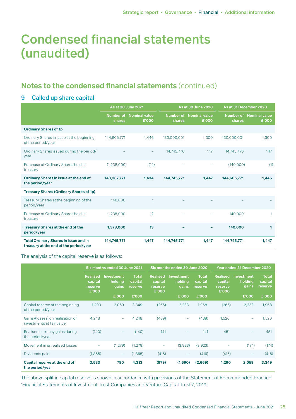## **Notes to the condensed financial statements** (continued)

### 9 Called up share capital

|                                                                                        | <b>As at 30 June 2021</b> |                                  |             | <b>As at 30 June 2020</b>        |             | As at 31 December 2020           |  |
|----------------------------------------------------------------------------------------|---------------------------|----------------------------------|-------------|----------------------------------|-------------|----------------------------------|--|
|                                                                                        | shares                    | Number of Nominal value<br>£'000 | shares      | Number of Nominal value<br>£'000 | shares      | Number of Nominal value<br>£'000 |  |
| <b>Ordinary Shares of 1p</b>                                                           |                           |                                  |             |                                  |             |                                  |  |
| Ordinary Shares in issue at the beginning<br>of the period/year                        | 144,605,771               | 1.446                            | 130,000,001 | 1,300                            | 130,000,001 | 1,300                            |  |
| Ordinary Shares issued during the period/<br>year                                      |                           |                                  | 14,745,770  | 147                              | 14,745,770  | 147                              |  |
| Purchase of Ordinary Shares held in<br>treasury                                        | (1,238,000)               | (12)                             |             |                                  | (140,000)   | (1)                              |  |
| Ordinary Shares in issue at the end of<br>the period/year                              | 143,367,771               | 1,434                            | 144,745,771 | 1,447                            | 144,605,771 | 1,446                            |  |
| <b>Treasury Shares (Ordinary Shares of 1p)</b>                                         |                           |                                  |             |                                  |             |                                  |  |
| Treasury Shares at the beginning of the<br>period/year                                 | 140,000                   |                                  |             |                                  |             |                                  |  |
| Purchase of Ordinary Shares held in<br>treasury                                        | 1,238,000                 | 12                               |             |                                  | 140,000     | $\mathbf{1}$                     |  |
| <b>Treasury Shares at the end of the</b><br>period/year                                | 1,378,000                 | 13                               |             |                                  | 140,000     | 1                                |  |
| <b>Total Ordinary Shares in issue and in</b><br>treasury at the end of the period/year | 144,745,771               | 1,447                            | 144,745,771 | 1,447                            | 144,745,771 | 1,447                            |  |

The analysis of the capital reserve is as follows:

|                                                               | Six months ended 30 June 2021                  |                                       |                                    |                                                | Six months ended 30 June 2020         |                                    |                                                | <b>Year ended 31 December 2020</b>    |                                    |  |
|---------------------------------------------------------------|------------------------------------------------|---------------------------------------|------------------------------------|------------------------------------------------|---------------------------------------|------------------------------------|------------------------------------------------|---------------------------------------|------------------------------------|--|
|                                                               | <b>Realised</b><br>capital<br>reserve<br>£'000 | <b>Investment</b><br>holding<br>gains | <b>Total</b><br>capital<br>reserve | <b>Realised</b><br>capital<br>reserve<br>£'000 | <b>Investment</b><br>holding<br>gains | <b>Total</b><br>capital<br>reserve | <b>Realised</b><br>capital<br>reserve<br>£'000 | <b>Investment</b><br>holding<br>gains | <b>Total</b><br>capital<br>reserve |  |
|                                                               |                                                | £'000                                 | £'000                              |                                                | £'000                                 | £'000                              |                                                | £'000                                 | £'000                              |  |
| Capital reserve at the beginning<br>of the period/year        | 1,290                                          | 2,059                                 | 3.349                              | (265)                                          | 2,233                                 | 1.968                              | (265)                                          | 2,233                                 | 1,968                              |  |
| Gains/(losses) on realisation of<br>investments at fair value | 4.248                                          | ÷                                     | 4,248                              | (439)                                          |                                       | (439)                              | 1,520                                          | ۰                                     | 1,520                              |  |
| Realised currency gains during<br>the period/year             | (140)                                          | -                                     | (140)                              | 141                                            |                                       | 141                                | 451                                            |                                       | 451                                |  |
| Movement in unrealised losses                                 | ۰                                              | (1, 279)                              | (1,279)                            | -                                              | (3,923)                               | (3,923)                            | $\qquad \qquad -$                              | (174)                                 | (174)                              |  |
| Dividends paid                                                | (1,865)                                        | $\overline{\phantom{a}}$              | (1,865)                            | (416)                                          | -                                     | (416)                              | (416)                                          | -                                     | (416)                              |  |
| Capital reserve at the end of<br>the period/year              | 3,533                                          | 780                                   | 4,313                              | (979)                                          | (1,690)                               | (2,669)                            | 1,290                                          | 2,059                                 | 3,349                              |  |

The above split in capital reserve is shown in accordance with provisions of the Statement of Recommended Practice 'Financial Statements of Investment Trust Companies and Venture Capital Trusts', 2019.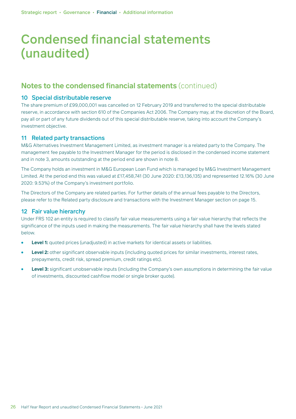## **Notes to the condensed financial statements** (continued)

#### 10 Special distributable reserve

The share premium of £99,000,001 was cancelled on 12 February 2019 and transferred to the special distributable reserve, in accordance with section 610 of the Companies Act 2006. The Company may, at the discretion of the Board, pay all or part of any future dividends out of this special distributable reserve, taking into account the Company's investment objective.

#### 11 Related party transactions

M&G Alternatives Investment Management Limited, as investment manager is a related party to the Company. The management fee payable to the Investment Manager for the period is disclosed in the condensed income statement and in note 3, amounts outstanding at the period end are shown in note 8.

The Company holds an investment in M&G European Loan Fund which is managed by M&G Investment Management Limited. At the period end this was valued at £17,458,741 (30 June 2020: £13,136,135) and represented 12.16% (30 June 2020: 9.53%) of the Company's investment portfolio.

The Directors of the Company are related parties. For further details of the annual fees payable to the Directors, please refer to the Related party disclosure and transactions with the Investment Manager section on page 15.

#### 12 Fair value hierarchy

Under FRS 102 an entity is required to classify fair value measurements using a fair value hierarchy that reflects the significance of the inputs used in making the measurements. The fair value hierarchy shall have the levels stated below.

- **Level 1:** quoted prices (unadjusted) in active markets for identical assets or liabilities.
- Level 2: other significant observable inputs (including quoted prices for similar investments, interest rates, prepayments, credit risk, spread premium, credit ratings etc).
- Level 3: significant unobservable inputs (including the Company's own assumptions in determining the fair value of investments, discounted cashflow model or single broker quote).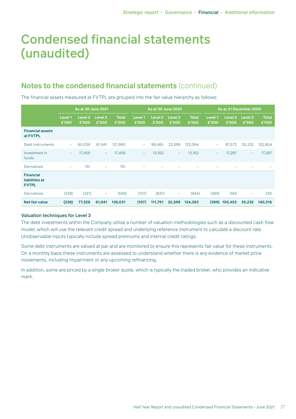## **Notes to the condensed financial statements** (continued)

The financial assets measured at FVTPL are grouped into the fair value hierarchy as follows:

|                                                    |                          | As at 30 June 2021          |                          |                       |                          | <b>As at 30 June 2020</b> |                          |                       |                          | As at 31 December 2020      |                          |                       |
|----------------------------------------------------|--------------------------|-----------------------------|--------------------------|-----------------------|--------------------------|---------------------------|--------------------------|-----------------------|--------------------------|-----------------------------|--------------------------|-----------------------|
|                                                    | Level 1<br>£'000         | Level <sub>2</sub><br>£'000 | Level 3<br>£'000         | <b>Total</b><br>£'000 | Level 1<br>£'000         | <b>Level 2</b><br>£'000   | Level 3<br>£'000         | <b>Total</b><br>£'000 | Level 1<br>£'000         | Level <sub>2</sub><br>£'000 | Level 3<br>£'000         | <b>Total</b><br>£'000 |
| <b>Financial assets</b><br>at FVTPL                |                          |                             |                          |                       |                          |                           |                          |                       |                          |                             |                          |                       |
| Debt Instruments                                   | $\overline{\phantom{a}}$ | 60,039                      | 61,941                   | 121,980               | $\overline{\phantom{0}}$ | 99,465                    | 22,599                   | 122,064               | $\overline{\phantom{0}}$ | 87,572                      | 35,232                   | 122,804               |
| Investment in<br>funds                             | $\overline{\phantom{m}}$ | 17,459                      | $\overline{\phantom{a}}$ | 17,459                | $\overline{\phantom{a}}$ | 13,163                    | $\overline{\phantom{m}}$ | 13,163                | $\overline{\phantom{a}}$ | 17,287                      | $\overline{\phantom{a}}$ | 17,287                |
| <b>Derivatives</b>                                 | $\overline{\phantom{m}}$ | 151                         | $\overline{\phantom{0}}$ | 151                   |                          |                           |                          |                       |                          |                             |                          |                       |
| <b>Financial</b><br>liabilities at<br><b>FVTPL</b> |                          |                             |                          |                       |                          |                           |                          |                       |                          |                             |                          |                       |
| <b>Derivatives</b>                                 | (238)                    | (321)                       | $\overline{\phantom{a}}$ | (559)                 | (107)                    | (837)                     | $\overline{\phantom{m}}$ | (944)                 | (369)                    | 594                         | $\overline{\phantom{0}}$ | 225                   |
| <b>Net fair value</b>                              | (238)                    | 77,328                      | 61,941                   | 139,031               | (107)                    | 111,791                   | 22,599                   | 134,283               |                          | $(369)$ 105,453             | 35,232                   | 140,316               |

#### Valuation techniques for Level 3

The debt investments within the Company utilise a number of valuation methodologies such as a discounted cash flow model, which will use the relevant credit spread and underlying reference instrument to calculate a discount rate. Unobservable inputs typically include spread premiums and internal credit ratings.

Some debt instruments are valued at par and are monitored to ensure this represents fair value for these instruments. On a monthly basis these instruments are assessed to understand whether there is any evidence of market price movements, including impairment or any upcoming refinancing.

In addition, some are priced by a single broker quote, which is typically the traded broker, who provides an indicative mark.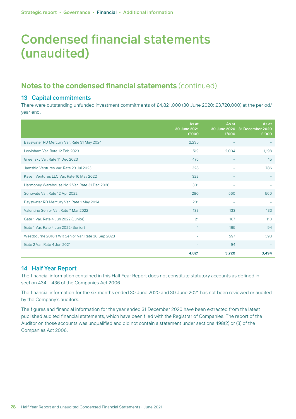## **Notes to the condensed financial statements** (continued)

### 13 Capital commitments

There were outstanding unfunded investment commitments of £4,821,000 (30 June 2020: £3,720,000) at the period/ year end.

|                                                   | As at<br>30 June 2021<br>£'000 | As at<br>£'000 | As at<br>30 June 2020 31 December 2020<br>£'000 |
|---------------------------------------------------|--------------------------------|----------------|-------------------------------------------------|
| Bayswater RD Mercury Var. Rate 31 May 2024        | 2,235                          |                |                                                 |
| Lewisham Var. Rate 12 Feb 2023                    | 519                            | 2,004          | 1,198                                           |
| Greensky Var. Rate 11 Dec 2023                    | 476                            |                | 15                                              |
| Jamshid Ventures Var. Rate 23 Jul 2023            | 328                            | ÷              | 786                                             |
| Kaveh Ventures LLC Var. Rate 16 May 2022          | 323                            |                |                                                 |
| Harmoney Warehouse No 2 Var. Rate 31 Dec 2026     | 301                            |                |                                                 |
| Sonovate Var. Rate 12 Apr 2022                    | 280                            | 560            | 560                                             |
| Bayswater RD Mercury Var. Rate 1 May 2024         | 201                            | ۰              |                                                 |
| Valentine Senior Var. Rate 7 Mar 2022             | 133                            | 133            | 133                                             |
| Gate 1 Var. Rate 4 Jun 2022 (Junior)              | 21                             | 167            | 110                                             |
| Gate 1 Var. Rate 4 Jun 2022 (Senior)              | $\overline{4}$                 | 165            | 94                                              |
| Westbourne 2016 1 WR Senior Var. Rate 30 Sep 2023 | $\overline{\phantom{a}}$       | 597            | 598                                             |
| Gate 2 Var. Rate 4 Jun 2021                       |                                | 94             |                                                 |
|                                                   | 4,821                          | 3,720          | 3,494                                           |

### 14 Half Year Report

The financial information contained in this Half Year Report does not constitute statutory accounts as defined in section 434 – 436 of the Companies Act 2006.

The financial information for the six months ended 30 June 2020 and 30 June 2021 has not been reviewed or audited by the Company's auditors.

The figures and financial information for the year ended 31 December 2020 have been extracted from the latest published audited financial statements, which have been filed with the Registrar of Companies. The report of the Auditor on those accounts was unqualified and did not contain a statement under sections 498(2) or (3) of the Companies Act 2006.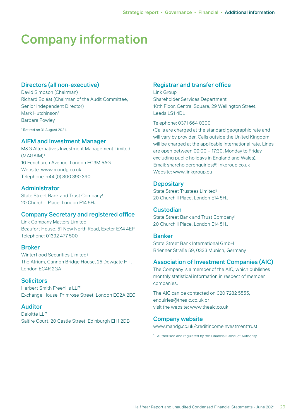# Company information

### Directors (all non-executive)

David Simpson (Chairman) Richard Boléat (Chairman of the Audit Committee, Senior Independent Director) Mark Hutchinson\* Barbara Powley

\* Retired on 31 August 2021.

### AIFM and Investment Manager

M&G Alternatives Investment Management Limited (MAGAIM)1 10 Fenchurch Avenue, London EC3M 5AG Website: www.mandg.co.uk Telephone: +44 (0) 800 390 390

### Administrator

State Street Bank and Trust Company1 20 Churchill Place, London E14 5HJ

#### Company Secretary and registered office

Link Company Matters Limited Beaufort House, 51 New North Road, Exeter EX4 4EP Telephone: 01392 477 500

#### Broker

Winterflood Securities Limited1 The Atrium, Cannon Bridge House, 25 Dowgate Hill, London EC4R 2GA

#### **Solicitors**

Herbert Smith Freehills LLP1 Exchange House, Primrose Street, London EC2A 2EG

#### Auditor

Deloitte LLP Saltire Court, 20 Castle Street, Edinburgh EH1 2DB

### Registrar and transfer office

Link Group Shareholder Services Department 10th Floor, Central Square, 29 Wellington Street, Leeds LS1 4DL

Telephone: 0371 664 0300

(Calls are charged at the standard geographic rate and will vary by provider. Calls outside the United Kingdom will be charged at the applicable international rate. Lines are open between 09:00 – 17:30, Monday to Friday excluding public holidays in England and Wales). Email: shareholderenquiries@linkgroup.co.uk Website: www.linkgroup.eu

### **Depositary**

State Street Trustees Limited1 20 Churchill Place, London E14 5HJ

### **Custodian**

State Street Bank and Trust Company1 20 Churchill Place, London E14 5HJ

#### Banker

State Street Bank International GmbH Brienner Straße 59, 0333 Munich, Germany

### Association of Investment Companies (AIC)

The Company is a member of the AIC, which publishes monthly statistical information in respect of member companies.

The AIC can be contacted on 020 7282 5555, enquiries@theaic.co.uk or visit the website: www.theaic.co.uk

#### Company website

[www.mandg.co.uk/creditincomeinvestmenttrust](https://www.mandg.com/investments/private-investor/en-gb/funds/mg-credit-income-investment-trust-plc/gb00bfyyl325)

1 Authorised and regulated by the Financial Conduct Authority.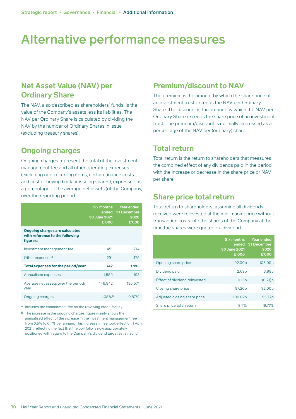## Alternative performance measures

## **Net Asset Value (NAV) per Ordinary Share**

The NAV, also described as shareholders' funds, is the value of the Company's assets less its liabilities. The NAV per Ordinary Share is calculated by dividing the NAV by the number of Ordinary Shares in issue (excluding treasury shares).

## **Ongoing charges**

Ongoing charges represent the total of the investment management fee and all other operating expenses (excluding non-recurring items, certain finance costs and cost of buying back or issuing shares), expressed as a percentage of the average net assets (of the Company) over the reporting period.

|                                                                               | <b>Six months</b><br>30 June 2021<br>£'000 | <b>Year ended</b><br>ended 31 December<br>2020<br>£'000 |
|-------------------------------------------------------------------------------|--------------------------------------------|---------------------------------------------------------|
| Ongoing charges are calculated<br>with reference to the following<br>figures: |                                            |                                                         |
| Investment management fee                                                     | 451                                        | 714                                                     |
| Other expenses <sup>a</sup>                                                   | 291                                        | 479                                                     |
| Total expenses for the period/year                                            | 742                                        | 1,193                                                   |
| Annualised expenses                                                           | 1,589                                      | 1,193                                                   |
| Average net assets over the period/<br>year                                   | 146,942                                    | 136,571                                                 |
| Ongoing charges                                                               | 1.08%                                      | 0.87%                                                   |

a Includes the commitment fee on the revolving credit facility.

b The increase in the ongoing charges figure mainly shows the annualised effect of the increase in the investment management fee from 0.5% to 0.7% per annum. This increase in fee took effect on 1 April 2021, reflecting the fact that the portfolio is now appropriately positioned with regard to the Company's dividend target set at launch.

### **Premium/discount to NAV**

The premium is the amount by which the share price of an investment trust exceeds the NAV per Ordinary Share. The discount is the amount by which the NAV per Ordinary Share exceeds the share price of an investment trust. The premium/discount is normally expressed as a percentage of the NAV per (ordinary) share.

### **Total return**

Total return is the return to shareholders that measures the combined effect of any dividends paid in the period with the increase or decrease in the share price or NAV per share.

### **Share price total return**

Total return to shareholders, assuming all dividends received were reinvested at the mid-market price without transaction costs into the shares of the Company at the time the shares were quoted ex-dividend.

|                               | <b>Six months</b><br>30 June 2021<br>£'000 | <b>Year ended</b><br>ended 31 December<br>2020<br>£'000 |
|-------------------------------|--------------------------------------------|---------------------------------------------------------|
| Opening share price           | 92.00p                                     | 106.00p                                                 |
| Dividend paid                 | 2.69 <sub>p</sub>                          | 3.98 <sub>p</sub>                                       |
| Effect of dividend reinvested | 0.13 <sub>p</sub>                          | (0.21)p                                                 |
| Closing share price           | 97.20p                                     | 92.00p                                                  |
| Adjusted closing share price  | 100.02p                                    | 95.77p                                                  |
| Share price total return      | 87%                                        | (9.7)%                                                  |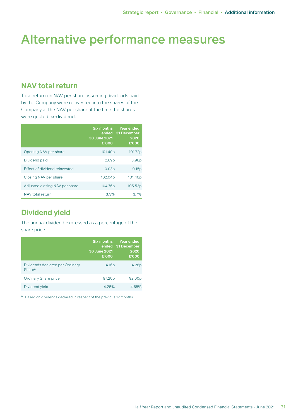## Alternative performance measures

## **NAV total return**

Total return on NAV per share assuming dividends paid by the Company were reinvested into the shares of the Company at the NAV per share at the time the shares were quoted ex-dividend.

|                                | <b>Six months</b><br>30 June 2021<br>£'000 | <b>Year ended</b><br>ended 31 December<br>2020<br>£'000 |
|--------------------------------|--------------------------------------------|---------------------------------------------------------|
| Opening NAV per share          | 101.40p                                    | 101.72p                                                 |
| Dividend paid                  | 2.69 <sub>p</sub>                          | 3.98 <sub>p</sub>                                       |
| Effect of dividend reinvested  | 0.03 <sub>p</sub>                          | 0.15p                                                   |
| Closing NAV per share          | 102.04p                                    | 101.40 <sub>p</sub>                                     |
| Adjusted closing NAV per share | 104.76p                                    | 105.53p                                                 |
| NAV total return               | 3.3%                                       | .37%                                                    |

## **Dividend yield**

The annual dividend expressed as a percentage of the share price.

|                                                       | <b>Six months</b><br>30 June 2021<br>£'000 | <b>Year ended</b><br>ended 31 December<br>2020<br>£'000 |
|-------------------------------------------------------|--------------------------------------------|---------------------------------------------------------|
| Dividends declared per Ordinary<br>Share <sup>a</sup> | 4.16 <sub>p</sub>                          | 4.28p                                                   |
| <b>Ordinary Share price</b>                           | 97.20 <sub>p</sub>                         | 92.00p                                                  |
| Dividend yield                                        | 4.28%                                      | 4.65%                                                   |

a Based on dividends declared in respect of the previous 12 months.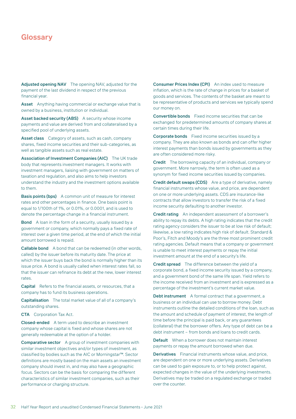Adjusted opening NAV The opening NAV, adjusted for the payment of the last dividend in respect of the previous financial year.

Asset Anything having commercial or exchange value that is owned by a business, institution or individual.

Asset backed security (ABS) A security whose income payments and value are derived from and collateralised by a specified pool of underlying assets.

Asset class Category of assets, such as cash, company shares, fixed income securities and their sub-categories, as well as tangible assets such as real estate.

Association of Investment Companies (AIC) The UK trade body that represents investment managers. It works with investment managers, liaising with government on matters of taxation and regulation, and also aims to help investors understand the industry and the investment options available to them.

Basis points (bps) A common unit of measure for interest rates and other percentages in finance. One basis point is equal to 1/100th of 1%, or 0.01%, or 0.0001, and is used to denote the percentage change in a financial instrument.

Bond A loan in the form of a security, usually issued by a government or company, which normally pays a fixed rate of interest over a given time period, at the end of which the initial amount borrowed is repaid.

Callable bond A bond that can be redeemed (in other words, called) by the issuer before its maturity date. The price at which the issuer buys back the bond is normally higher than its issue price. A bond is usually called when interest rates fall, so that the issuer can refinance its debt at the new, lower interest rates.

Capital Refers to the financial assets, or resources, that a company has to fund its business operations.

Capitalisation The total market value of all of a company's outstanding shares.

CTA Corporation Tax Act.

Closed-ended A term used to describe an investment company whose capital is fixed and whose shares are not generally redeemable at the option of a holder.

Comparative sector A group of investment companies with similar investment objectives and/or types of investment, as classified by bodies such as the AIC or Morningstar™. Sector definitions are mostly based on the main assets an investment company should invest in, and may also have a geographic focus. Sectors can be the basis for comparing the different characteristics of similar investment companies, such as their performance or charging structure.

Consumer Prices Index (CPI) An index used to measure inflation, which is the rate of change in prices for a basket of goods and services. The contents of the basket are meant to be representative of products and services we typically spend our money on.

Convertible bonds Fixed income securities that can be exchanged for predetermined amounts of company shares at certain times during their life.

Corporate bonds Fixed income securities issued by a company. They are also known as bonds and can offer higher interest payments than bonds issued by governments as they are often considered more risky.

Credit The borrowing capacity of an individual, company or government. More narrowly, the term is often used as a synonym for fixed income securities issued by companies.

Credit default swaps (CDS) Are a type of derivative, namely financial instruments whose value, and price, are dependent on one or more underlying assets. CDS are insurance-like contracts that allow investors to transfer the risk of a fixed income security defaulting to another investor.

Credit rating An independent assessment of a borrower's ability to repay its debts. A high rating indicates that the credit rating agency considers the issuer to be at low risk of default; likewise, a low rating indicates high risk of default. Standard & Poor's, Fitch and Moody's are the three most prominent credit rating agencies. Default means that a company or government is unable to meet interest payments or repay the initial investment amount at the end of a security's life.

Credit spread The difference between the yield of a corporate bond, a fixed income security issued by a company, and a government bond of the same life span. Yield refers to the income received from an investment and is expressed as a percentage of the investment's current market value.

Debt instrument A formal contract that a government, a business or an individual can use to borrow money. Debt instruments outline the detailed conditions of the loan, such as the amount and schedule of payment of interest, the length of time before the principal is paid back, or any guarantees (collateral) that the borrower offers. Any type of debt can be a debt instrument – from bonds and loans to credit cards.

Default When a borrower does not maintain interest payments or repay the amount borrowed when due.

Derivatives Financial instruments whose value, and price, are dependent on one or more underlying assets. Derivatives can be used to gain exposure to, or to help protect against, expected changes in the value of the underlying investments. Derivatives may be traded on a regulated exchange or traded over the counter.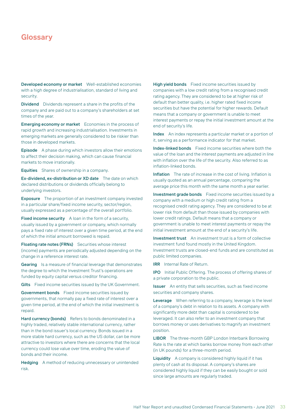Developed economy or market Well-established economies with a high degree of industrialisation, standard of living and security.

Dividend Dividends represent a share in the profits of the company and are paid out to a company's shareholders at set times of the year.

Emerging economy or market Economies in the process of rapid growth and increasing industrialisation. Investments in emerging markets are generally considered to be riskier than those in developed markets.

Episode A phase during which investors allow their emotions to affect their decision making, which can cause financial markets to move irrationally.

Equities Shares of ownership in a company.

Ex-dividend, ex-distribution or XD date The date on which declared distributions or dividends officially belong to underlying investors.

Exposure The proportion of an investment company invested in a particular share/fixed income security, sector/region, usually expressed as a percentage of the overall portfolio.

Fixed income security A loan in the form of a security, usually issued by a government or company, which normally pays a fixed rate of interest over a given time period, at the end of which the initial amount borrowed is repaid.

Floating rate notes (FRNs) Securities whose interest (income) payments are periodically adjusted depending on the change in a reference interest rate.

Gearing Is a measure of financial leverage that demonstrates the degree to which the Investment Trust's operations are funded by equity capital versus creditor financing.

Gilts Fixed income securities issued by the UK Government.

Government bonds Fixed income securities issued by governments, that normally pay a fixed rate of interest over a given time period, at the end of which the initial investment is repaid.

Hard currency (bonds) Refers to bonds denominated in a highly traded, relatively stable international currency, rather than in the bond issuer's local currency. Bonds issued in a more stable hard currency, such as the US dollar, can be more attractive to investors where there are concerns that the local currency could lose value over time, eroding the value of bonds and their income.

Hedging A method of reducing unnecessary or unintended risk.

High yield bonds Fixed income securities issued by companies with a low credit rating from a recognised credit rating agency. They are considered to be at higher risk of default than better quality, i.e. higher rated fixed income securities but have the potential for higher rewards. Default means that a company or government is unable to meet interest payments or repay the initial investment amount at the end of security's life.

Index An index represents a particular market or a portion of it, serving as a performance indicator for that market.

Index-linked bonds Fixed income securities where both the value of the loan and the interest payments are adjusted in line with inflation over the life of the security. Also referred to as inflation-linked bonds.

Inflation The rate of increase in the cost of living. Inflation is usually quoted as an annual percentage, comparing the average price this month with the same month a year earlier.

Investment grade bonds Fixed income securities issued by a company with a medium or high credit rating from a recognised credit rating agency. They are considered to be at lower risk from default than those issued by companies with lower credit ratings. Default means that a company or government is unable to meet interest payments or repay the initial investment amount at the end of a security's life.

Investment trust An investment trust is a form of collective investment fund found mostly in the United Kingdom. Investment trusts are closed-end funds and are constituted as public limited companies.

**IRR** Internal Rate of Return.

IPO Initial Public Offering. The process of offering shares of a private corporation to the public.

Issuer An entity that sells securities, such as fixed income securities and company shares.

Leverage When referring to a company, leverage is the level of a company's debt in relation to its assets. A company with significantly more debt than capital is considered to be leveraged. It can also refer to an investment company that borrows money or uses derivatives to magnify an investment position.

LIBOR The three-month GBP London Interbank Borrowing Rate is the rate at which banks borrow money from each other (in UK pounds) for a three-month period.

Liquidity A company is considered highly liquid if it has plenty of cash at its disposal. A company's shares are considered highly liquid if they can be easily bought or sold since large amounts are regularly traded.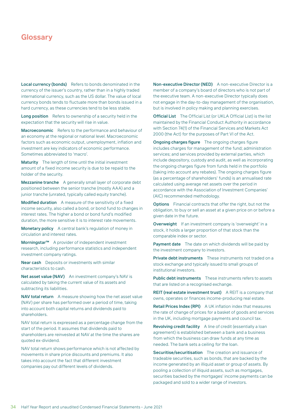Local currency (bonds) Refers to bonds denominated in the currency of the issuer's country, rather than in a highly traded international currency, such as the US dollar. The value of local currency bonds tends to fluctuate more than bonds issued in a hard currency, as these currencies tend to be less stable.

Long position Refers to ownership of a security held in the expectation that the security will rise in value.

Macroeconomic Refers to the performance and behaviour of an economy at the regional or national level. Macroeconomic factors such as economic output, unemployment, inflation and investment are key indicators of economic performance. Sometimes abbreviated to 'macro'.

Maturity The length of time until the initial investment amount of a fixed income security is due to be repaid to the holder of the security.

Mezzanine tranche A generally small layer of corporate debt positioned between the senior tranche (mostly AAA) and a junior tranche (unrated, typically called equity tranche).

Modified duration A measure of the sensitivity of a fixed income security, also called a bond, or bond fund to changes in interest rates. The higher a bond or bond fund's modified duration, the more sensitive it is to interest rate movements.

Monetary policy A central bank's regulation of money in circulation and interest rates.

Morningstar™ A provider of independent investment research, including performance statistics and independent investment company ratings.

Near cash Deposits or investments with similar characteristics to cash.

Net asset value (NAV) An investment company's NAV is calculated by taking the current value of its assets and subtracting its liabilities.

NAV total return A measure showing how the net asset value (NAV) per share has performed over a period of time, taking into account both capital returns and dividends paid to shareholders.

NAV total return is expressed as a percentage change from the start of the period. It assumes that dividends paid to shareholders are reinvested at NAV at the time the shares are quoted ex-dividend.

NAV total return shows performance which is not affected by movements in share price discounts and premiums. It also takes into account the fact that different investment companies pay out different levels of dividends.

Non-executive Director (NED) A non-executive Director is a member of a company's board of directors who is not part of the executive team. A non-executive Director typically does not engage in the day-to-day management of the organisation, but is involved in policy making and planning exercises.

Official List The Official List (or UKLA Official List) is the list maintained by the Financial Conduct Authority in accordance with Section 74(1) of the Financial Services and Markets Act 2000 (the Act) for the purposes of Part VI of the Act.

**Ongoing charges figure** The ongoing charges figure includes charges for management of the fund; administration services; and services provided by external parties, which include depository, custody and audit, as well as incorporating the ongoing charges figure from funds held in the portfolio (taking into account any rebates). The ongoing charges figure (as a percentage of shareholders' funds) is an annualised rate calculated using average net assets over the period in accordance with the Association of Investment Companies' (AIC) recommended methodology.

Options Financial contracts that offer the right, but not the obligation, to buy or sell an asset at a given price on or before a given date in the future.

Overweight If an investment company is 'overweight' in a stock, it holds a larger proportion of that stock than the comparable index or sector.

Payment date The date on which dividends will be paid by the investment company to investors.

Private debt instruments These instruments not traded on a stock exchange and typically issued to small groups of institutional investors.

Public debt instruments These instruments refers to assets that are listed on a recognised exchange.

REIT (real estate investment trust) A REIT is a company that owns, operates or finances income-producing real estate.

Retail Prices Index (RPI) A UK inflation index that measures the rate of change of prices for a basket of goods and services in the UK, including mortgage payments and council tax.

Revolving credit facility A line of credit (essentially a loan agreement) is established between a bank and a business from which the business can draw funds at any time as needed. The bank sets a ceiling for the loan.

Securitise/securitisation The creation and issuance of tradeable securities, such as bonds, that are backed by the income generated by an illiquid asset or group of assets. By pooling a collection of illiquid assets, such as mortgages, securities backed by the mortgages' income payments can be packaged and sold to a wider range of investors.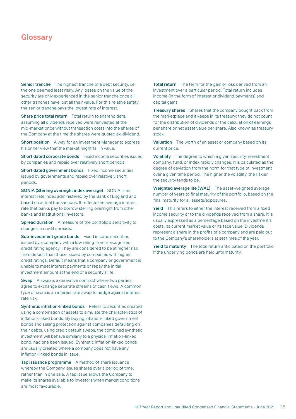Senior tranche The highest tranche of a debt security, i.e. the one deemed least risky. Any losses on the value of the security are only experienced in the senior tranche once all other tranches have lost all their value. For this relative safety, the senior tranche pays the lowest rate of interest.

Share price total return Total return to shareholders, assuming all dividends received were reinvested at the mid-market price without transaction costs into the shares of the Company at the time the shares were quoted ex-dividend.

Short position A way for an Investment Manager to express his or her view that the market might fall in value.

Short dated corporate bonds Fixed income securities issued by companies and repaid over relatively short periods.

Short dated government bonds Fixed income securities issued by governments and repaid over relatively short periods.

SONIA (Sterling overnight index average) SONIA is an interest rate index administered by the Bank of England and based on actual transactions. It reflects the average interest rate that banks pay to borrow sterling overnight from other banks and institutional investors.

Spread duration A measure of the portfolio's sensitivity to changes in credit spreads.

Sub-investment grade bonds Fixed income securities issued by a company with a low rating from a recognised credit rating agency. They are considered to be at higher risk from default than those issued by companies with higher credit ratings. Default means that a company or government is unable to meet interest payments or repay the initial investment amount at the end of a security's life.

**Swap** A swap is a derivative contract where two parties agree to exchange separate streams of cash flows. A common type of swap is an interest rate swap to hedge against interest rate risk.

Synthetic inflation-linked bonds Refers to securities created using a combination of assets to simulate the characteristics of inflation-linked bonds. By buying inflation-linked government bonds and selling protection against companies defaulting on their debts, using credit default swaps, the combined synthetic investment will behave similarly to a physical inflation-linked bond, had one been issued. Synthetic inflation-linked bonds are usually created where a company does not have any inflation-linked bonds in issue.

Tap issuance programme A method of share issuance whereby the Company issues shares over a period of time, rather than in one sale. A tap issue allows the Company to make its shares available to investors when market conditions are most favourable.

Total return The term for the gain or loss derived from an investment over a particular period. Total return includes income (in the form of interest or dividend payments) and capital gains.

**Treasury shares** Shares that the company bought back from the marketplace and it keeps in its treasury; they do not count for the distribution of dividends or the calculation of earnings per share or net asset value per share. Also known as treasury stock.

Valuation The worth of an asset or company based on its current price.

Volatility The degree to which a given security, investment company, fund, or index rapidly changes. It is calculated as the degree of deviation from the norm for that type of investment over a given time period. The higher the volatility, the riskier the security tends to be.

Weighted average life (WAL) The asset-weighted average number of years to final maturity of the portfolio, based on the final maturity for all assets/exposures.

Yield This refers to either the interest received from a fixed income security or to the dividends received from a share. It is usually expressed as a percentage based on the investment's costs, its current market value or its face value. Dividends represent a share in the profits of a company and are paid out to the Company's shareholders at set times of the year.

Yield to maturity The total return anticipated on the portfolio if the underlying bonds are held until maturity.